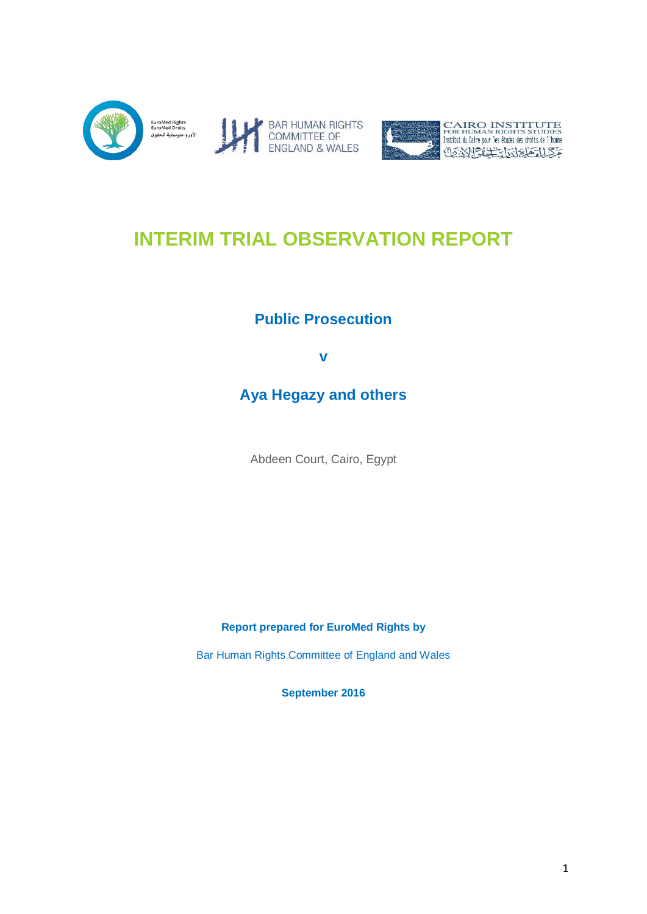



### **INTERIM TRIAL OBSERVATION REPORT**

### **Public Prosecution**

**v**

### **Aya Hegazy and others**

Abdeen Court, Cairo, Egypt

**Report prepared for EuroMed Rights by**

Bar Human Rights Committee of England and Wales

**September 2016**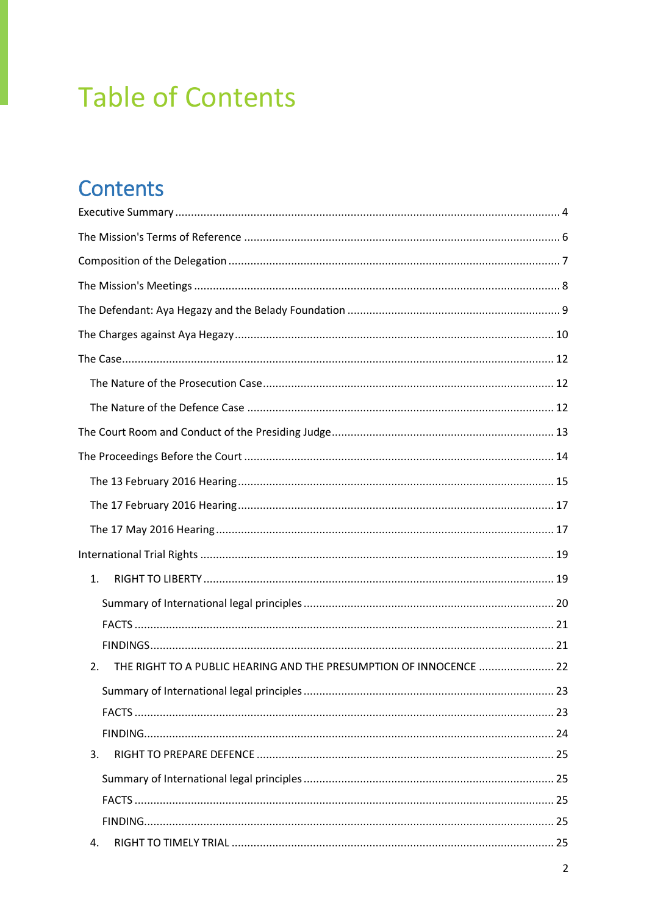# **Table of Contents**

### Contents

| 1.                                                                       |
|--------------------------------------------------------------------------|
|                                                                          |
|                                                                          |
|                                                                          |
| THE RIGHT TO A PUBLIC HEARING AND THE PRESUMPTION OF INNOCENCE  22<br>2. |
|                                                                          |
|                                                                          |
|                                                                          |
| 3.                                                                       |
|                                                                          |
|                                                                          |
|                                                                          |
| 4.                                                                       |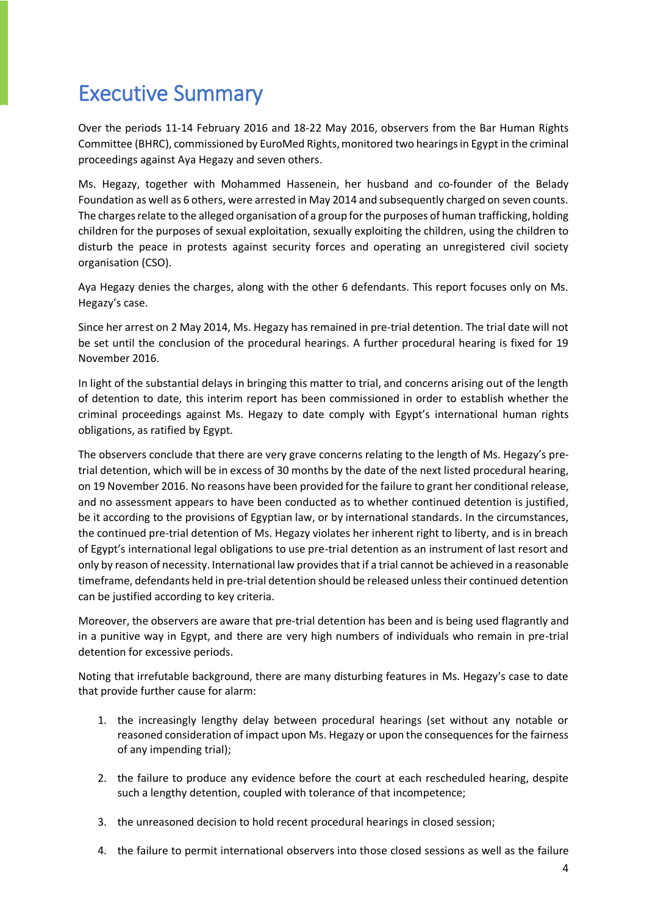## <span id="page-3-0"></span>Executive Summary

Over the periods 11-14 February 2016 and 18-22 May 2016, observers from the Bar Human Rights Committee (BHRC), commissioned by EuroMed Rights, monitored two hearingsin Egypt in the criminal proceedings against Aya Hegazy and seven others.

Ms. Hegazy, together with Mohammed Hassenein, her husband and co-founder of the Belady Foundation as well as 6 others, were arrested in May 2014 and subsequently charged on seven counts. The charges relate to the alleged organisation of a group for the purposes of human trafficking, holding children for the purposes of sexual exploitation, sexually exploiting the children, using the children to disturb the peace in protests against security forces and operating an unregistered civil society organisation (CSO).

Aya Hegazy denies the charges, along with the other 6 defendants. This report focuses only on Ms. Hegazy's case.

Since her arrest on 2 May 2014, Ms. Hegazy has remained in pre-trial detention. The trial date will not be set until the conclusion of the procedural hearings. A further procedural hearing is fixed for 19 November 2016.

In light of the substantial delays in bringing this matter to trial, and concerns arising out of the length of detention to date, this interim report has been commissioned in order to establish whether the criminal proceedings against Ms. Hegazy to date comply with Egypt's international human rights obligations, as ratified by Egypt.

The observers conclude that there are very grave concerns relating to the length of Ms. Hegazy's pretrial detention, which will be in excess of 30 months by the date of the next listed procedural hearing, on 19 November 2016. No reasons have been provided for the failure to grant her conditional release, and no assessment appears to have been conducted as to whether continued detention is justified, be it according to the provisions of Egyptian law, or by international standards. In the circumstances, the continued pre-trial detention of Ms. Hegazy violates her inherent right to liberty, and is in breach of Egypt's international legal obligations to use pre-trial detention as an instrument of last resort and only by reason of necessity. International law provides that if a trial cannot be achieved in a reasonable timeframe, defendants held in pre-trial detention should be released unless their continued detention can be justified according to key criteria.

Moreover, the observers are aware that pre-trial detention has been and is being used flagrantly and in a punitive way in Egypt, and there are very high numbers of individuals who remain in pre-trial detention for excessive periods.

Noting that irrefutable background, there are many disturbing features in Ms. Hegazy's case to date that provide further cause for alarm:

- 1. the increasingly lengthy delay between procedural hearings (set without any notable or reasoned consideration of impact upon Ms. Hegazy or upon the consequences for the fairness of any impending trial);
- 2. the failure to produce any evidence before the court at each rescheduled hearing, despite such a lengthy detention, coupled with tolerance of that incompetence;
- 3. the unreasoned decision to hold recent procedural hearings in closed session;
- 4. the failure to permit international observers into those closed sessions as well as the failure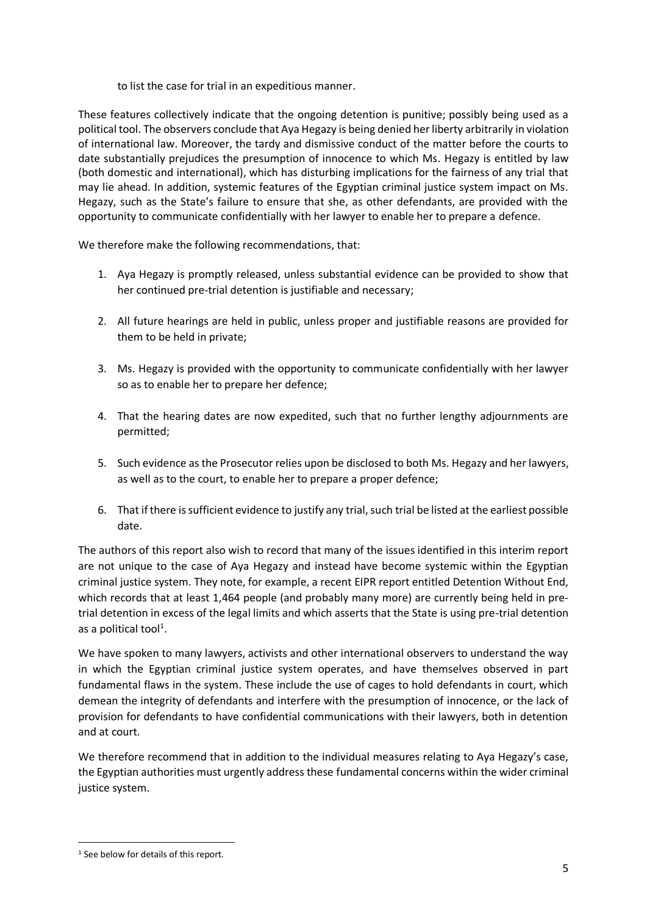to list the case for trial in an expeditious manner.

These features collectively indicate that the ongoing detention is punitive; possibly being used as a political tool. The observers conclude that Aya Hegazy is being denied her liberty arbitrarily in violation of international law. Moreover, the tardy and dismissive conduct of the matter before the courts to date substantially prejudices the presumption of innocence to which Ms. Hegazy is entitled by law (both domestic and international), which has disturbing implications for the fairness of any trial that may lie ahead. In addition, systemic features of the Egyptian criminal justice system impact on Ms. Hegazy, such as the State's failure to ensure that she, as other defendants, are provided with the opportunity to communicate confidentially with her lawyer to enable her to prepare a defence.

We therefore make the following recommendations, that:

- 1. Aya Hegazy is promptly released, unless substantial evidence can be provided to show that her continued pre-trial detention is justifiable and necessary;
- 2. All future hearings are held in public, unless proper and justifiable reasons are provided for them to be held in private;
- 3. Ms. Hegazy is provided with the opportunity to communicate confidentially with her lawyer so as to enable her to prepare her defence;
- 4. That the hearing dates are now expedited, such that no further lengthy adjournments are permitted;
- 5. Such evidence as the Prosecutor relies upon be disclosed to both Ms. Hegazy and her lawyers, as well as to the court, to enable her to prepare a proper defence;
- 6. That if there is sufficient evidence to justify any trial, such trial be listed at the earliest possible date.

The authors of this report also wish to record that many of the issues identified in this interim report are not unique to the case of Aya Hegazy and instead have become systemic within the Egyptian criminal justice system. They note, for example, a recent EIPR report entitled Detention Without End, which records that at least 1,464 people (and probably many more) are currently being held in pretrial detention in excess of the legal limits and which asserts that the State is using pre-trial detention as a political tool<sup>1</sup>.

We have spoken to many lawyers, activists and other international observers to understand the way in which the Egyptian criminal justice system operates, and have themselves observed in part fundamental flaws in the system. These include the use of cages to hold defendants in court, which demean the integrity of defendants and interfere with the presumption of innocence, or the lack of provision for defendants to have confidential communications with their lawyers, both in detention and at court.

We therefore recommend that in addition to the individual measures relating to Aya Hegazy's case, the Egyptian authorities must urgently address these fundamental concerns within the wider criminal justice system.

**.** 

<sup>&</sup>lt;sup>1</sup> See below for details of this report.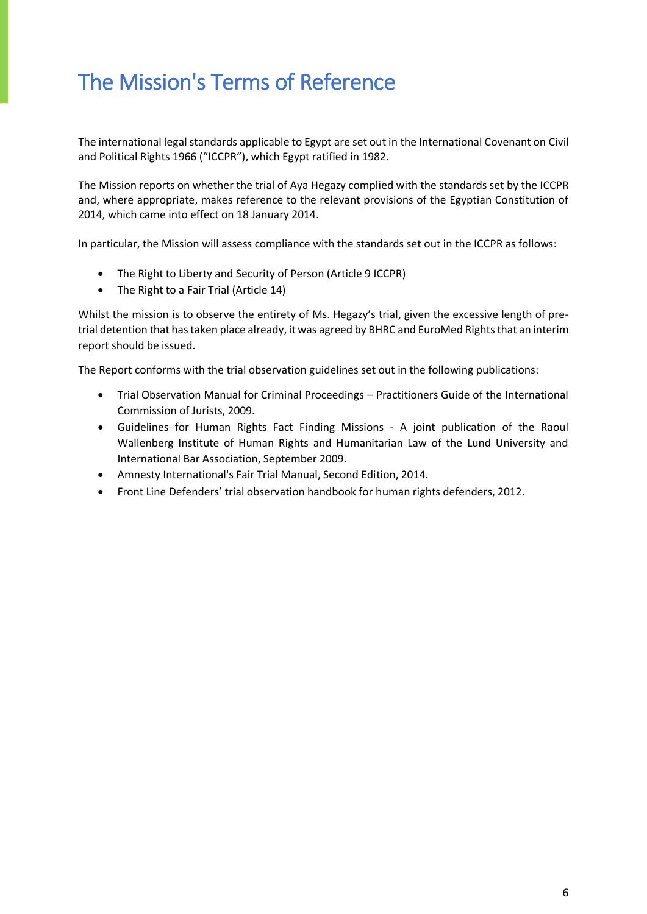# <span id="page-5-0"></span>The Mission's Terms of Reference

The international legal standards applicable to Egypt are set out in the International Covenant on Civil and Political Rights 1966 ("ICCPR"), which Egypt ratified in 1982.

The Mission reports on whether the trial of Aya Hegazy complied with the standards set by the ICCPR and, where appropriate, makes reference to the relevant provisions of the Egyptian Constitution of 2014, which came into effect on 18 January 2014.

In particular, the Mission will assess compliance with the standards set out in the ICCPR as follows:

- The Right to Liberty and Security of Person (Article 9 ICCPR)
- The Right to a Fair Trial (Article 14)

Whilst the mission is to observe the entirety of Ms. Hegazy's trial, given the excessive length of pretrial detention that has taken place already, it was agreed by BHRC and EuroMed Rights that an interim report should be issued.

The Report conforms with the trial observation guidelines set out in the following publications:

- Trial Observation Manual for Criminal Proceedings Practitioners Guide of the International Commission of Jurists, 2009.
- Guidelines for Human Rights Fact Finding Missions A joint publication of the Raoul Wallenberg Institute of Human Rights and Humanitarian Law of the Lund University and International Bar Association, September 2009.
- Amnesty International's Fair Trial Manual, Second Edition, 2014.
- Front Line Defenders' trial observation handbook for human rights defenders, 2012.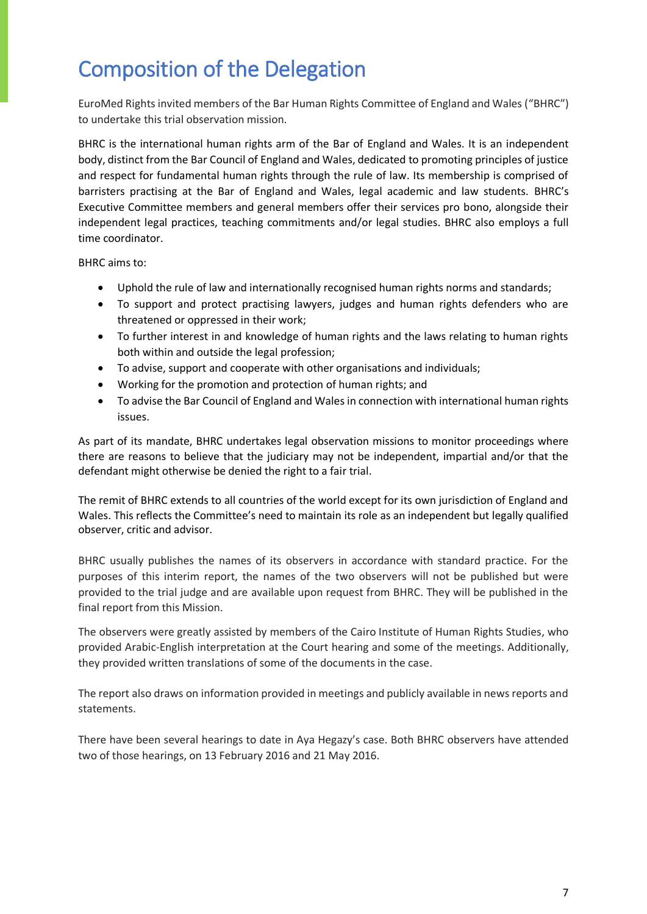# <span id="page-6-0"></span>Composition of the Delegation

EuroMed Rights invited members of the Bar Human Rights Committee of England and Wales ("BHRC") to undertake this trial observation mission.

BHRC is the international human rights arm of the Bar of England and Wales. It is an independent body, distinct from the Bar Council of England and Wales, dedicated to promoting principles of justice and respect for fundamental human rights through the rule of law. Its membership is comprised of barristers practising at the Bar of England and Wales, legal academic and law students. BHRC's Executive Committee members and general members offer their services pro bono, alongside their independent legal practices, teaching commitments and/or legal studies. BHRC also employs a full time coordinator.

BHRC aims to:

- Uphold the rule of law and internationally recognised human rights norms and standards;
- To support and protect practising lawyers, judges and human rights defenders who are threatened or oppressed in their work;
- To further interest in and knowledge of human rights and the laws relating to human rights both within and outside the legal profession;
- To advise, support and cooperate with other organisations and individuals;
- Working for the promotion and protection of human rights; and
- To advise the Bar Council of England and Wales in connection with international human rights issues.

As part of its mandate, BHRC undertakes legal observation missions to monitor proceedings where there are reasons to believe that the judiciary may not be independent, impartial and/or that the defendant might otherwise be denied the right to a fair trial.

The remit of BHRC extends to all countries of the world except for its own jurisdiction of England and Wales. This reflects the Committee's need to maintain its role as an independent but legally qualified observer, critic and advisor.

BHRC usually publishes the names of its observers in accordance with standard practice. For the purposes of this interim report, the names of the two observers will not be published but were provided to the trial judge and are available upon request from BHRC. They will be published in the final report from this Mission.

The observers were greatly assisted by members of the Cairo Institute of Human Rights Studies, who provided Arabic-English interpretation at the Court hearing and some of the meetings. Additionally, they provided written translations of some of the documents in the case.

The report also draws on information provided in meetings and publicly available in news reports and statements.

There have been several hearings to date in Aya Hegazy's case. Both BHRC observers have attended two of those hearings, on 13 February 2016 and 21 May 2016.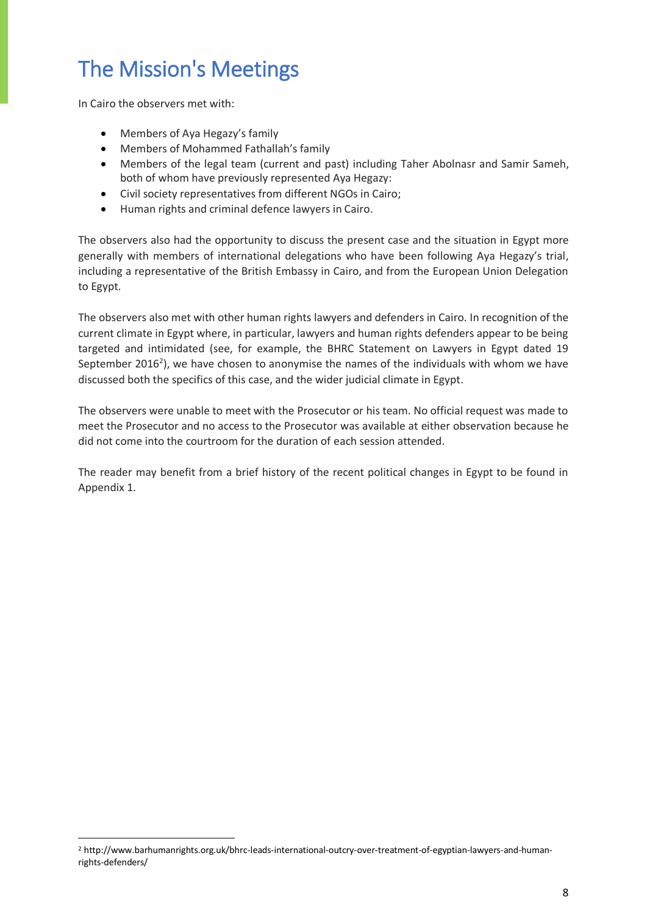# <span id="page-7-0"></span>The Mission's Meetings

In Cairo the observers met with:

-

- Members of Aya Hegazy's family
- Members of Mohammed Fathallah's family
- Members of the legal team (current and past) including Taher Abolnasr and Samir Sameh, both of whom have previously represented Aya Hegazy:
- Civil society representatives from different NGOs in Cairo;
- Human rights and criminal defence lawyers in Cairo.

The observers also had the opportunity to discuss the present case and the situation in Egypt more generally with members of international delegations who have been following Aya Hegazy's trial, including a representative of the British Embassy in Cairo, and from the European Union Delegation to Egypt.

The observers also met with other human rights lawyers and defenders in Cairo. In recognition of the current climate in Egypt where, in particular, lawyers and human rights defenders appear to be being targeted and intimidated (see, for example, the BHRC Statement on Lawyers in Egypt dated 19 September 2016<sup>2</sup>), we have chosen to anonymise the names of the individuals with whom we have discussed both the specifics of this case, and the wider judicial climate in Egypt.

The observers were unable to meet with the Prosecutor or his team. No official request was made to meet the Prosecutor and no access to the Prosecutor was available at either observation because he did not come into the courtroom for the duration of each session attended.

The reader may benefit from a brief history of the recent political changes in Egypt to be found in Appendix 1.

<sup>2</sup> http://www.barhumanrights.org.uk/bhrc-leads-international-outcry-over-treatment-of-egyptian-lawyers-and-humanrights-defenders/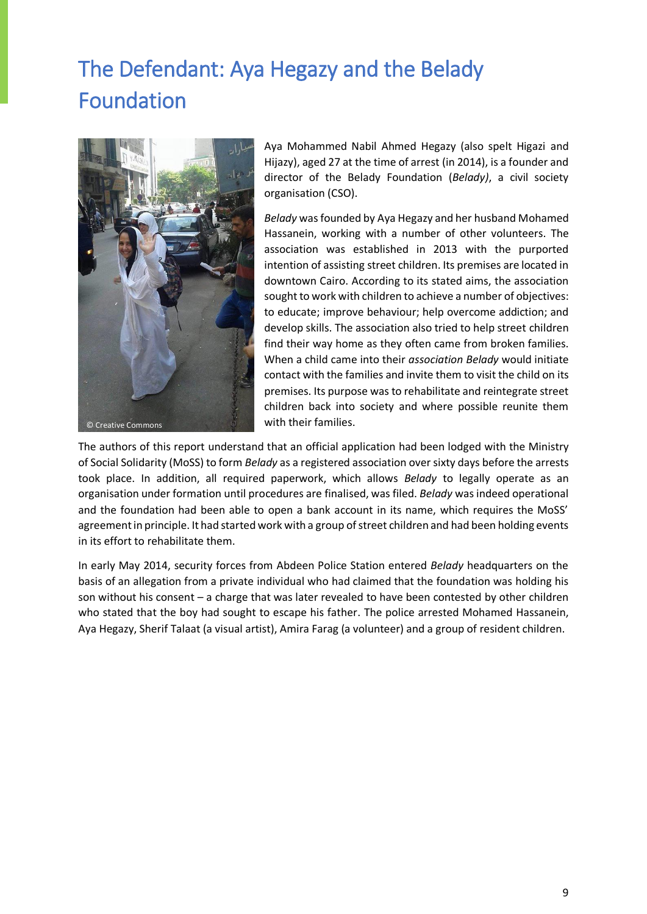# <span id="page-8-0"></span>The Defendant: Aya Hegazy and the Belady Foundation



Aya Mohammed Nabil Ahmed Hegazy (also spelt Higazi and Hijazy), aged 27 at the time of arrest (in 2014), is a founder and director of the Belady Foundation (*Belady)*, a civil society organisation (CSO).

*Belady* was founded by Aya Hegazy and her husband Mohamed Hassanein, working with a number of other volunteers. The association was established in 2013 with the purported intention of assisting street children. Its premises are located in downtown Cairo. According to its stated aims, the association sought to work with children to achieve a number of objectives: to educate; improve behaviour; help overcome addiction; and develop skills. The association also tried to help street children find their way home as they often came from broken families. When a child came into their *association Belady* would initiate contact with the families and invite them to visit the child on its premises. Its purpose was to rehabilitate and reintegrate street children back into society and where possible reunite them with their families.

The authors of this report understand that an official application had been lodged with the Ministry of Social Solidarity (MoSS) to form *Belady* as a registered association over sixty days before the arrests took place. In addition, all required paperwork, which allows *Belady* to legally operate as an organisation under formation until procedures are finalised, was filed. *Belady* was indeed operational and the foundation had been able to open a bank account in its name, which requires the MoSS' agreement in principle. It had started work with a group of street children and had been holding events in its effort to rehabilitate them.

In early May 2014, security forces from Abdeen Police Station entered *Belady* headquarters on the basis of an allegation from a private individual who had claimed that the foundation was holding his son without his consent – a charge that was later revealed to have been contested by other children who stated that the boy had sought to escape his father. The police arrested Mohamed Hassanein, Aya Hegazy, Sherif Talaat (a visual artist), Amira Farag (a volunteer) and a group of resident children.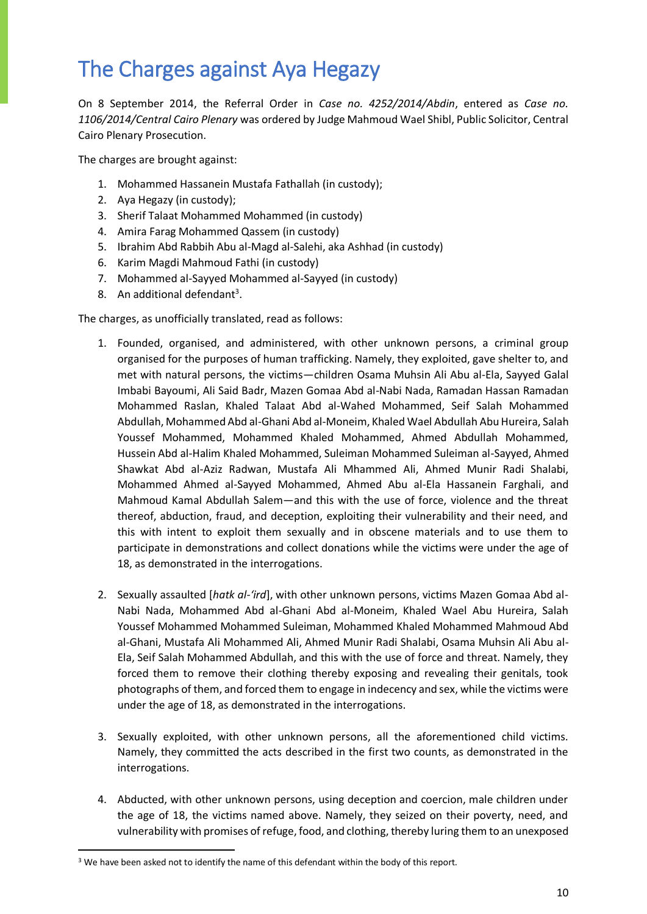# <span id="page-9-0"></span>The Charges against Aya Hegazy

On 8 September 2014, the Referral Order in *Case no. 4252/2014/Abdin*, entered as *Case no. 1106/2014/Central Cairo Plenary* was ordered by Judge Mahmoud Wael Shibl, Public Solicitor, Central Cairo Plenary Prosecution.

The charges are brought against:

- 1. Mohammed Hassanein Mustafa Fathallah (in custody);
- 2. Aya Hegazy (in custody);
- 3. Sherif Talaat Mohammed Mohammed (in custody)
- 4. Amira Farag Mohammed Qassem (in custody)
- 5. Ibrahim Abd Rabbih Abu al-Magd al-Salehi, aka Ashhad (in custody)
- 6. Karim Magdi Mahmoud Fathi (in custody)
- 7. Mohammed al-Sayyed Mohammed al-Sayyed (in custody)
- 8. An additional defendant<sup>3</sup>.

The charges, as unofficially translated, read as follows:

- 1. Founded, organised, and administered, with other unknown persons, a criminal group organised for the purposes of human trafficking. Namely, they exploited, gave shelter to, and met with natural persons, the victims—children Osama Muhsin Ali Abu al-Ela, Sayyed Galal Imbabi Bayoumi, Ali Said Badr, Mazen Gomaa Abd al-Nabi Nada, Ramadan Hassan Ramadan Mohammed Raslan, Khaled Talaat Abd al-Wahed Mohammed, Seif Salah Mohammed Abdullah, Mohammed Abd al-Ghani Abd al-Moneim, Khaled Wael Abdullah Abu Hureira, Salah Youssef Mohammed, Mohammed Khaled Mohammed, Ahmed Abdullah Mohammed, Hussein Abd al-Halim Khaled Mohammed, Suleiman Mohammed Suleiman al-Sayyed, Ahmed Shawkat Abd al-Aziz Radwan, Mustafa Ali Mhammed Ali, Ahmed Munir Radi Shalabi, Mohammed Ahmed al-Sayyed Mohammed, Ahmed Abu al-Ela Hassanein Farghali, and Mahmoud Kamal Abdullah Salem—and this with the use of force, violence and the threat thereof, abduction, fraud, and deception, exploiting their vulnerability and their need, and this with intent to exploit them sexually and in obscene materials and to use them to participate in demonstrations and collect donations while the victims were under the age of 18, as demonstrated in the interrogations.
- 2. Sexually assaulted [*hatk al-'ird*], with other unknown persons, victims Mazen Gomaa Abd al-Nabi Nada, Mohammed Abd al-Ghani Abd al-Moneim, Khaled Wael Abu Hureira, Salah Youssef Mohammed Mohammed Suleiman, Mohammed Khaled Mohammed Mahmoud Abd al-Ghani, Mustafa Ali Mohammed Ali, Ahmed Munir Radi Shalabi, Osama Muhsin Ali Abu al-Ela, Seif Salah Mohammed Abdullah, and this with the use of force and threat. Namely, they forced them to remove their clothing thereby exposing and revealing their genitals, took photographs of them, and forced them to engage in indecency and sex, while the victims were under the age of 18, as demonstrated in the interrogations.
- 3. Sexually exploited, with other unknown persons, all the aforementioned child victims. Namely, they committed the acts described in the first two counts, as demonstrated in the interrogations.
- 4. Abducted, with other unknown persons, using deception and coercion, male children under the age of 18, the victims named above. Namely, they seized on their poverty, need, and vulnerability with promises of refuge, food, and clothing, thereby luring them to an unexposed

**.** 

<sup>&</sup>lt;sup>3</sup> We have been asked not to identify the name of this defendant within the body of this report.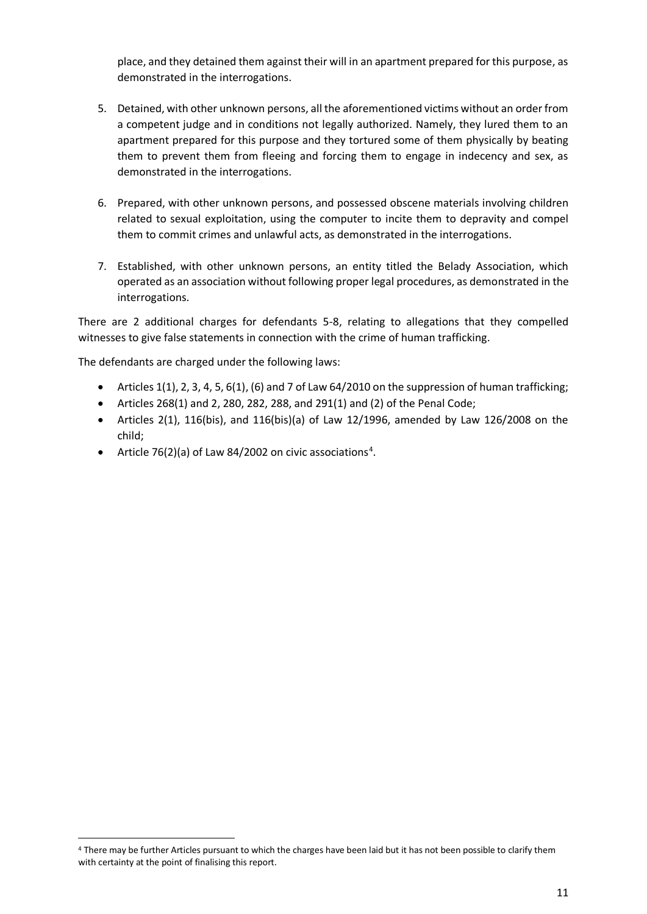place, and they detained them against their will in an apartment prepared for this purpose, as demonstrated in the interrogations.

- 5. Detained, with other unknown persons, all the aforementioned victims without an order from a competent judge and in conditions not legally authorized. Namely, they lured them to an apartment prepared for this purpose and they tortured some of them physically by beating them to prevent them from fleeing and forcing them to engage in indecency and sex, as demonstrated in the interrogations.
- 6. Prepared, with other unknown persons, and possessed obscene materials involving children related to sexual exploitation, using the computer to incite them to depravity and compel them to commit crimes and unlawful acts, as demonstrated in the interrogations.
- 7. Established, with other unknown persons, an entity titled the Belady Association, which operated as an association without following proper legal procedures, as demonstrated in the interrogations.

There are 2 additional charges for defendants 5-8, relating to allegations that they compelled witnesses to give false statements in connection with the crime of human trafficking.

The defendants are charged under the following laws:

-

- Articles  $1(1)$ , 2, 3, 4, 5, 6(1), (6) and 7 of Law 64/2010 on the suppression of human trafficking;
- Articles 268(1) and 2, 280, 282, 288, and 291(1) and (2) of the Penal Code;
- Articles 2(1), 116(bis), and 116(bis)(a) of Law 12/1996, amended by Law 126/2008 on the child;
- Article 76(2)(a) of Law 84/2002 on civic associations<sup>4</sup>.

<sup>4</sup> There may be further Articles pursuant to which the charges have been laid but it has not been possible to clarify them with certainty at the point of finalising this report.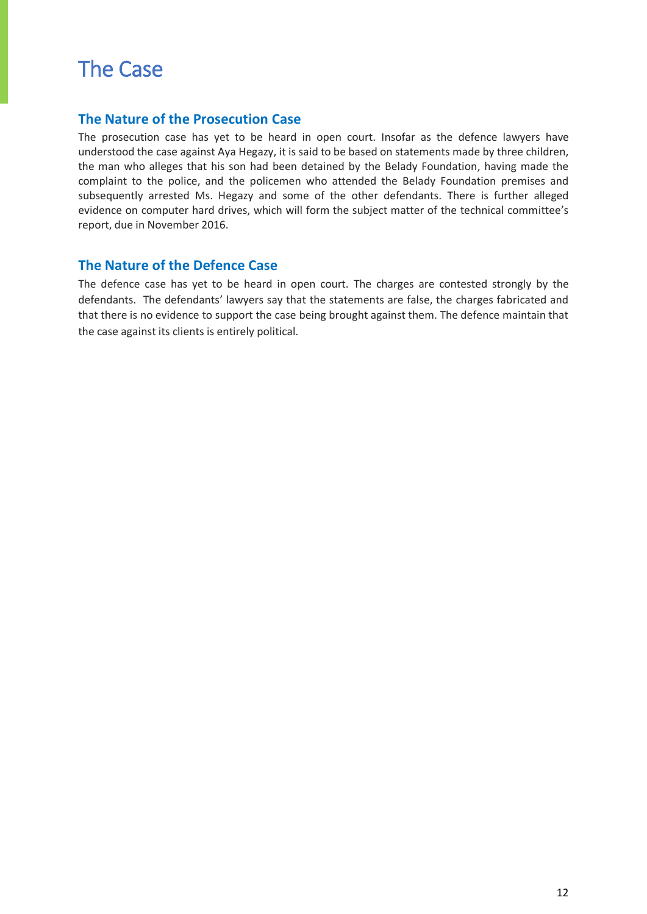# <span id="page-11-0"></span>The Case

### <span id="page-11-1"></span>**The Nature of the Prosecution Case**

The prosecution case has yet to be heard in open court. Insofar as the defence lawyers have understood the case against Aya Hegazy, it is said to be based on statements made by three children, the man who alleges that his son had been detained by the Belady Foundation, having made the complaint to the police, and the policemen who attended the Belady Foundation premises and subsequently arrested Ms. Hegazy and some of the other defendants. There is further alleged evidence on computer hard drives, which will form the subject matter of the technical committee's report, due in November 2016.

### <span id="page-11-2"></span>**The Nature of the Defence Case**

The defence case has yet to be heard in open court. The charges are contested strongly by the defendants. The defendants' lawyers say that the statements are false, the charges fabricated and that there is no evidence to support the case being brought against them. The defence maintain that the case against its clients is entirely political.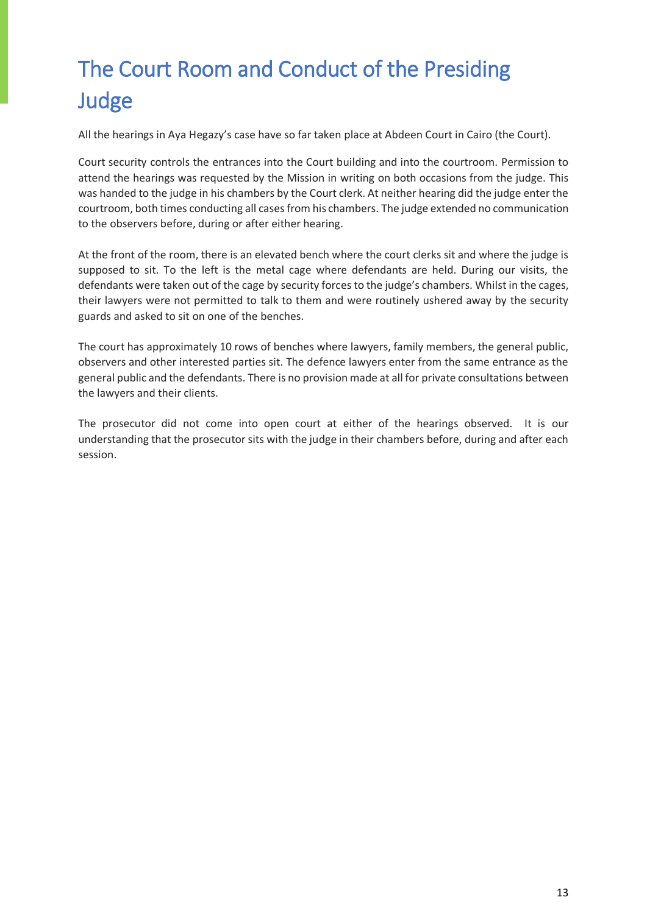# <span id="page-12-0"></span>The Court Room and Conduct of the Presiding Judge

All the hearings in Aya Hegazy's case have so far taken place at Abdeen Court in Cairo (the Court).

Court security controls the entrances into the Court building and into the courtroom. Permission to attend the hearings was requested by the Mission in writing on both occasions from the judge. This was handed to the judge in his chambers by the Court clerk. At neither hearing did the judge enter the courtroom, both times conducting all cases from his chambers. The judge extended no communication to the observers before, during or after either hearing.

At the front of the room, there is an elevated bench where the court clerks sit and where the judge is supposed to sit. To the left is the metal cage where defendants are held. During our visits, the defendants were taken out of the cage by security forces to the judge's chambers. Whilst in the cages, their lawyers were not permitted to talk to them and were routinely ushered away by the security guards and asked to sit on one of the benches.

The court has approximately 10 rows of benches where lawyers, family members, the general public, observers and other interested parties sit. The defence lawyers enter from the same entrance as the general public and the defendants. There is no provision made at all for private consultations between the lawyers and their clients.

The prosecutor did not come into open court at either of the hearings observed. It is our understanding that the prosecutor sits with the judge in their chambers before, during and after each session.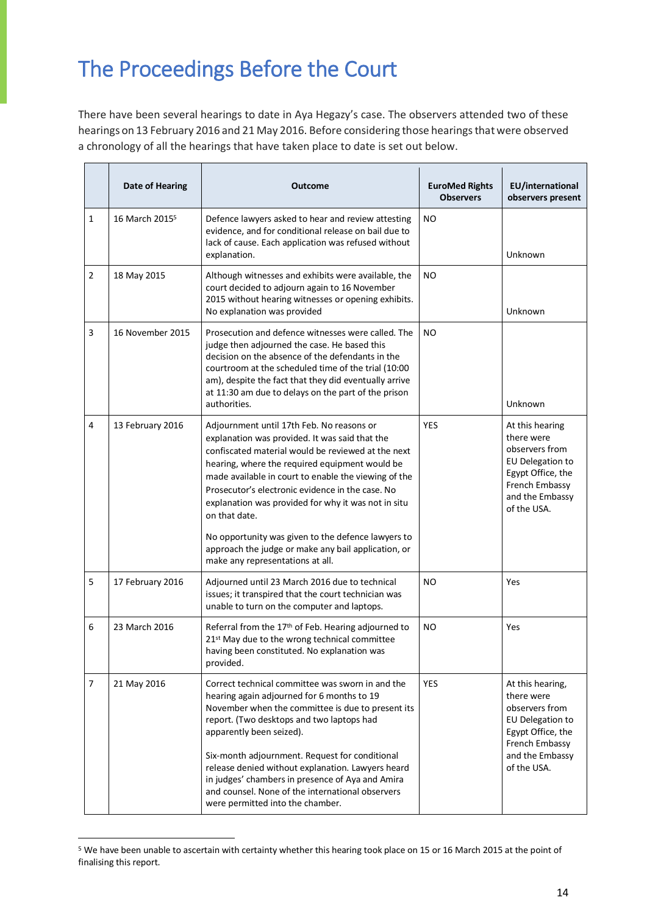# <span id="page-13-0"></span>The Proceedings Before the Court

There have been several hearings to date in Aya Hegazy's case. The observers attended two of these hearings on 13 February 2016 and 21 May 2016. Before considering those hearings that were observed a chronology of all the hearings that have taken place to date is set out below.

|                | <b>Date of Hearing</b>     | <b>Outcome</b>                                                                                                                                                                                                                                                                                                                                                                                                                                                                                       | <b>EuroMed Rights</b><br><b>Observers</b> | EU/international<br>observers present                                                                                                         |
|----------------|----------------------------|------------------------------------------------------------------------------------------------------------------------------------------------------------------------------------------------------------------------------------------------------------------------------------------------------------------------------------------------------------------------------------------------------------------------------------------------------------------------------------------------------|-------------------------------------------|-----------------------------------------------------------------------------------------------------------------------------------------------|
| 1              | 16 March 2015 <sup>5</sup> | Defence lawyers asked to hear and review attesting<br>evidence, and for conditional release on bail due to<br>lack of cause. Each application was refused without<br>explanation.                                                                                                                                                                                                                                                                                                                    | NO                                        | Unknown                                                                                                                                       |
| 2              | 18 May 2015                | Although witnesses and exhibits were available, the<br>court decided to adjourn again to 16 November<br>2015 without hearing witnesses or opening exhibits.<br>No explanation was provided                                                                                                                                                                                                                                                                                                           | NO                                        | Unknown                                                                                                                                       |
| 3              | 16 November 2015           | Prosecution and defence witnesses were called. The<br>judge then adjourned the case. He based this<br>decision on the absence of the defendants in the<br>courtroom at the scheduled time of the trial (10:00<br>am), despite the fact that they did eventually arrive<br>at 11:30 am due to delays on the part of the prison<br>authorities.                                                                                                                                                        | NO.                                       | Unknown                                                                                                                                       |
| 4              | 13 February 2016           | Adjournment until 17th Feb. No reasons or<br>explanation was provided. It was said that the<br>confiscated material would be reviewed at the next<br>hearing, where the required equipment would be<br>made available in court to enable the viewing of the<br>Prosecutor's electronic evidence in the case. No<br>explanation was provided for why it was not in situ<br>on that date.<br>No opportunity was given to the defence lawyers to<br>approach the judge or make any bail application, or | YES                                       | At this hearing<br>there were<br>observers from<br>EU Delegation to<br>Egypt Office, the<br>French Embassy<br>and the Embassy<br>of the USA.  |
| 5              | 17 February 2016           | make any representations at all.<br>Adjourned until 23 March 2016 due to technical<br>issues; it transpired that the court technician was<br>unable to turn on the computer and laptops.                                                                                                                                                                                                                                                                                                             | NO.                                       | Yes                                                                                                                                           |
| 6              | 23 March 2016              | Referral from the 17 <sup>th</sup> of Feb. Hearing adjourned to<br>21 <sup>st</sup> May due to the wrong technical committee<br>having been constituted. No explanation was<br>provided.                                                                                                                                                                                                                                                                                                             | ΝO                                        | Yes                                                                                                                                           |
| $\overline{7}$ | 21 May 2016                | Correct technical committee was sworn in and the<br>hearing again adjourned for 6 months to 19<br>November when the committee is due to present its<br>report. (Two desktops and two laptops had<br>apparently been seized).<br>Six-month adjournment. Request for conditional<br>release denied without explanation. Lawyers heard<br>in judges' chambers in presence of Aya and Amira<br>and counsel. None of the international observers<br>were permitted into the chamber.                      | <b>YES</b>                                | At this hearing,<br>there were<br>observers from<br>EU Delegation to<br>Egypt Office, the<br>French Embassy<br>and the Embassy<br>of the USA. |

<sup>5</sup> We have been unable to ascertain with certainty whether this hearing took place on 15 or 16 March 2015 at the point of finalising this report.

-

 $\mathbf{r}$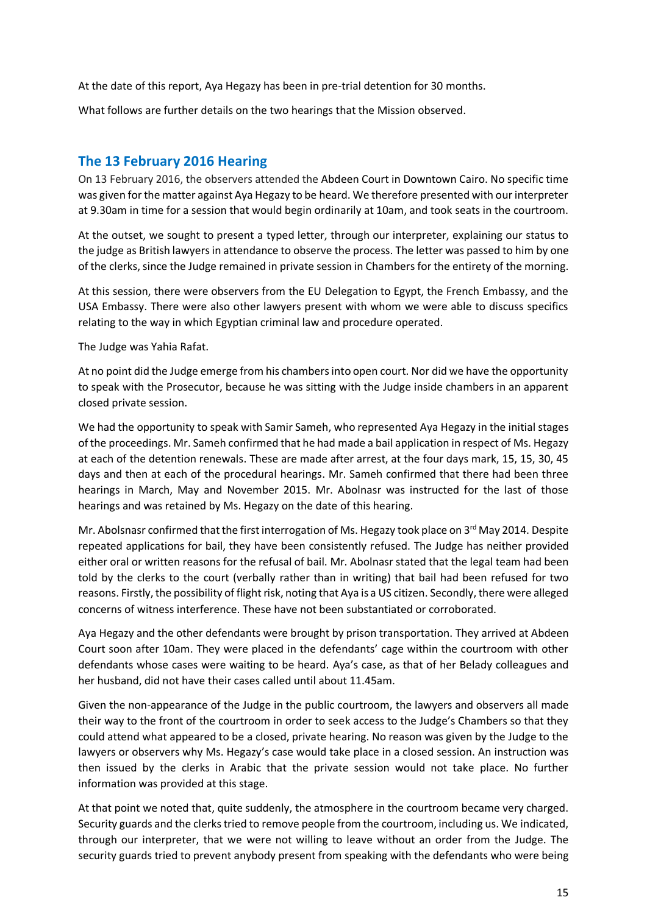At the date of this report, Aya Hegazy has been in pre-trial detention for 30 months.

What follows are further details on the two hearings that the Mission observed.

### <span id="page-14-0"></span>**The 13 February 2016 Hearing**

On 13 February 2016, the observers attended the Abdeen Court in Downtown Cairo. No specific time was given for the matter against Aya Hegazy to be heard. We therefore presented with our interpreter at 9.30am in time for a session that would begin ordinarily at 10am, and took seats in the courtroom.

At the outset, we sought to present a typed letter, through our interpreter, explaining our status to the judge as British lawyers in attendance to observe the process. The letter was passed to him by one of the clerks, since the Judge remained in private session in Chambers for the entirety of the morning.

At this session, there were observers from the EU Delegation to Egypt, the French Embassy, and the USA Embassy. There were also other lawyers present with whom we were able to discuss specifics relating to the way in which Egyptian criminal law and procedure operated.

The Judge was Yahia Rafat.

At no point did the Judge emerge from his chambers into open court. Nor did we have the opportunity to speak with the Prosecutor, because he was sitting with the Judge inside chambers in an apparent closed private session.

We had the opportunity to speak with Samir Sameh, who represented Aya Hegazy in the initial stages of the proceedings. Mr. Sameh confirmed that he had made a bail application in respect of Ms. Hegazy at each of the detention renewals. These are made after arrest, at the four days mark, 15, 15, 30, 45 days and then at each of the procedural hearings. Mr. Sameh confirmed that there had been three hearings in March, May and November 2015. Mr. Abolnasr was instructed for the last of those hearings and was retained by Ms. Hegazy on the date of this hearing.

Mr. Abolsnasr confirmed that the first interrogation of Ms. Hegazy took place on 3rd May 2014. Despite repeated applications for bail, they have been consistently refused. The Judge has neither provided either oral or written reasons for the refusal of bail. Mr. Abolnasr stated that the legal team had been told by the clerks to the court (verbally rather than in writing) that bail had been refused for two reasons. Firstly, the possibility of flight risk, noting that Aya is a US citizen. Secondly, there were alleged concerns of witness interference. These have not been substantiated or corroborated.

Aya Hegazy and the other defendants were brought by prison transportation. They arrived at Abdeen Court soon after 10am. They were placed in the defendants' cage within the courtroom with other defendants whose cases were waiting to be heard. Aya's case, as that of her Belady colleagues and her husband, did not have their cases called until about 11.45am.

Given the non-appearance of the Judge in the public courtroom, the lawyers and observers all made their way to the front of the courtroom in order to seek access to the Judge's Chambers so that they could attend what appeared to be a closed, private hearing. No reason was given by the Judge to the lawyers or observers why Ms. Hegazy's case would take place in a closed session. An instruction was then issued by the clerks in Arabic that the private session would not take place. No further information was provided at this stage.

At that point we noted that, quite suddenly, the atmosphere in the courtroom became very charged. Security guards and the clerks tried to remove people from the courtroom, including us. We indicated, through our interpreter, that we were not willing to leave without an order from the Judge. The security guards tried to prevent anybody present from speaking with the defendants who were being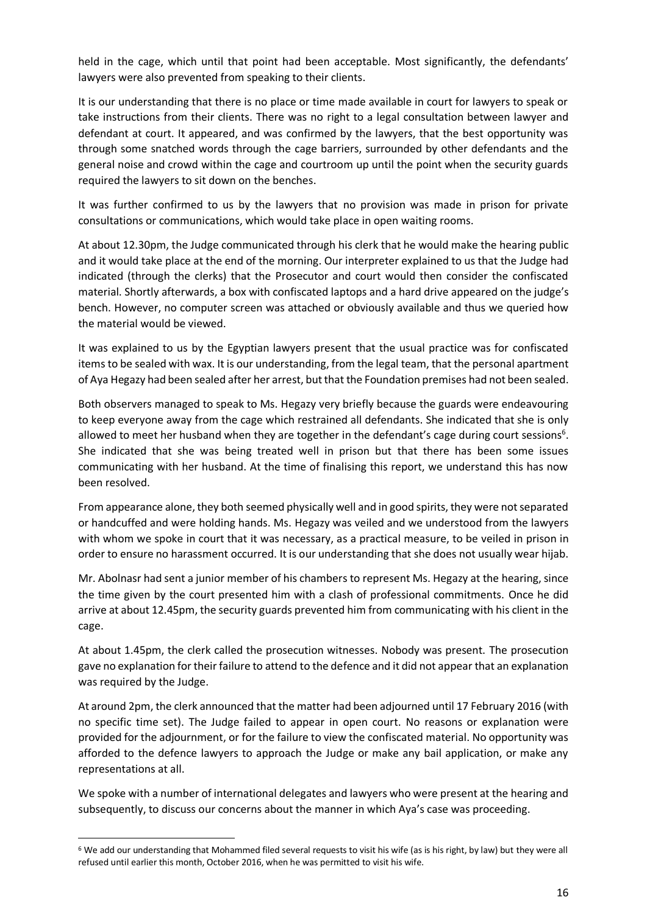held in the cage, which until that point had been acceptable. Most significantly, the defendants' lawyers were also prevented from speaking to their clients.

It is our understanding that there is no place or time made available in court for lawyers to speak or take instructions from their clients. There was no right to a legal consultation between lawyer and defendant at court. It appeared, and was confirmed by the lawyers, that the best opportunity was through some snatched words through the cage barriers, surrounded by other defendants and the general noise and crowd within the cage and courtroom up until the point when the security guards required the lawyers to sit down on the benches.

It was further confirmed to us by the lawyers that no provision was made in prison for private consultations or communications, which would take place in open waiting rooms.

At about 12.30pm, the Judge communicated through his clerk that he would make the hearing public and it would take place at the end of the morning. Our interpreter explained to us that the Judge had indicated (through the clerks) that the Prosecutor and court would then consider the confiscated material. Shortly afterwards, a box with confiscated laptops and a hard drive appeared on the judge's bench. However, no computer screen was attached or obviously available and thus we queried how the material would be viewed.

It was explained to us by the Egyptian lawyers present that the usual practice was for confiscated items to be sealed with wax. It is our understanding, from the legal team, that the personal apartment of Aya Hegazy had been sealed after her arrest, but that the Foundation premises had not been sealed.

Both observers managed to speak to Ms. Hegazy very briefly because the guards were endeavouring to keep everyone away from the cage which restrained all defendants. She indicated that she is only allowed to meet her husband when they are together in the defendant's cage during court sessions<sup>6</sup>. She indicated that she was being treated well in prison but that there has been some issues communicating with her husband. At the time of finalising this report, we understand this has now been resolved.

From appearance alone, they both seemed physically well and in good spirits, they were not separated or handcuffed and were holding hands. Ms. Hegazy was veiled and we understood from the lawyers with whom we spoke in court that it was necessary, as a practical measure, to be veiled in prison in order to ensure no harassment occurred. It is our understanding that she does not usually wear hijab.

Mr. Abolnasr had sent a junior member of his chambers to represent Ms. Hegazy at the hearing, since the time given by the court presented him with a clash of professional commitments. Once he did arrive at about 12.45pm, the security guards prevented him from communicating with his client in the cage.

At about 1.45pm, the clerk called the prosecution witnesses. Nobody was present. The prosecution gave no explanation for their failure to attend to the defence and it did not appear that an explanation was required by the Judge.

At around 2pm, the clerk announced that the matter had been adjourned until 17 February 2016 (with no specific time set). The Judge failed to appear in open court. No reasons or explanation were provided for the adjournment, or for the failure to view the confiscated material. No opportunity was afforded to the defence lawyers to approach the Judge or make any bail application, or make any representations at all.

We spoke with a number of international delegates and lawyers who were present at the hearing and subsequently, to discuss our concerns about the manner in which Aya's case was proceeding.

-

<sup>6</sup> We add our understanding that Mohammed filed several requests to visit his wife (as is his right, by law) but they were all refused until earlier this month, October 2016, when he was permitted to visit his wife.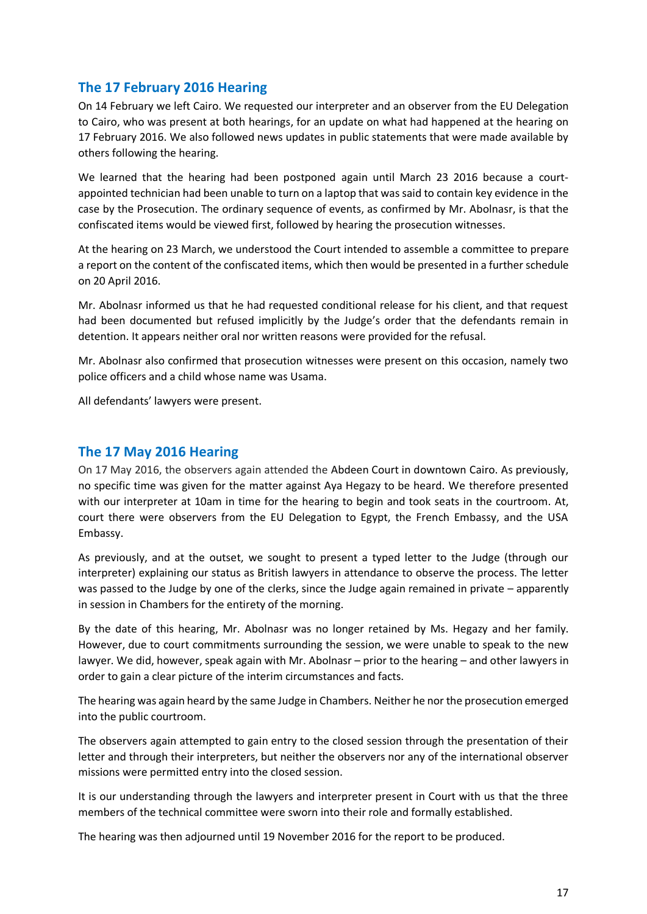### <span id="page-16-0"></span>**The 17 February 2016 Hearing**

On 14 February we left Cairo. We requested our interpreter and an observer from the EU Delegation to Cairo, who was present at both hearings, for an update on what had happened at the hearing on 17 February 2016. We also followed news updates in public statements that were made available by others following the hearing.

We learned that the hearing had been postponed again until March 23 2016 because a courtappointed technician had been unable to turn on a laptop that was said to contain key evidence in the case by the Prosecution. The ordinary sequence of events, as confirmed by Mr. Abolnasr, is that the confiscated items would be viewed first, followed by hearing the prosecution witnesses.

At the hearing on 23 March, we understood the Court intended to assemble a committee to prepare a report on the content of the confiscated items, which then would be presented in a further schedule on 20 April 2016.

Mr. Abolnasr informed us that he had requested conditional release for his client, and that request had been documented but refused implicitly by the Judge's order that the defendants remain in detention. It appears neither oral nor written reasons were provided for the refusal.

Mr. Abolnasr also confirmed that prosecution witnesses were present on this occasion, namely two police officers and a child whose name was Usama.

All defendants' lawyers were present.

### <span id="page-16-1"></span>**The 17 May 2016 Hearing**

On 17 May 2016, the observers again attended the Abdeen Court in downtown Cairo. As previously, no specific time was given for the matter against Aya Hegazy to be heard. We therefore presented with our interpreter at 10am in time for the hearing to begin and took seats in the courtroom. At, court there were observers from the EU Delegation to Egypt, the French Embassy, and the USA Embassy.

As previously, and at the outset, we sought to present a typed letter to the Judge (through our interpreter) explaining our status as British lawyers in attendance to observe the process. The letter was passed to the Judge by one of the clerks, since the Judge again remained in private – apparently in session in Chambers for the entirety of the morning.

By the date of this hearing, Mr. Abolnasr was no longer retained by Ms. Hegazy and her family. However, due to court commitments surrounding the session, we were unable to speak to the new lawyer. We did, however, speak again with Mr. Abolnasr – prior to the hearing – and other lawyers in order to gain a clear picture of the interim circumstances and facts.

The hearing was again heard by the same Judge in Chambers. Neither he nor the prosecution emerged into the public courtroom.

The observers again attempted to gain entry to the closed session through the presentation of their letter and through their interpreters, but neither the observers nor any of the international observer missions were permitted entry into the closed session.

It is our understanding through the lawyers and interpreter present in Court with us that the three members of the technical committee were sworn into their role and formally established.

The hearing was then adjourned until 19 November 2016 for the report to be produced.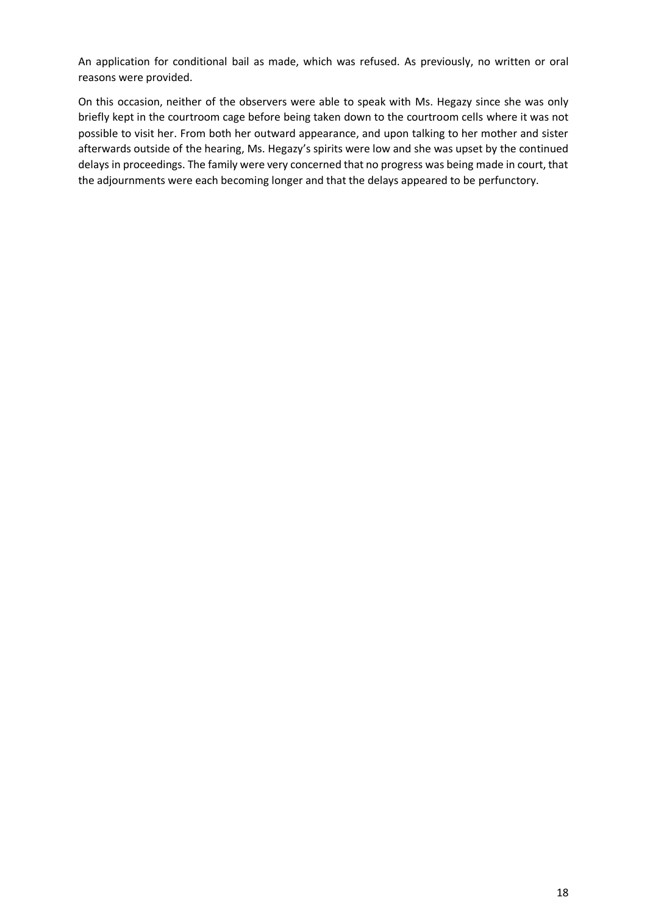An application for conditional bail as made, which was refused. As previously, no written or oral reasons were provided.

On this occasion, neither of the observers were able to speak with Ms. Hegazy since she was only briefly kept in the courtroom cage before being taken down to the courtroom cells where it was not possible to visit her. From both her outward appearance, and upon talking to her mother and sister afterwards outside of the hearing, Ms. Hegazy's spirits were low and she was upset by the continued delays in proceedings. The family were very concerned that no progress was being made in court, that the adjournments were each becoming longer and that the delays appeared to be perfunctory.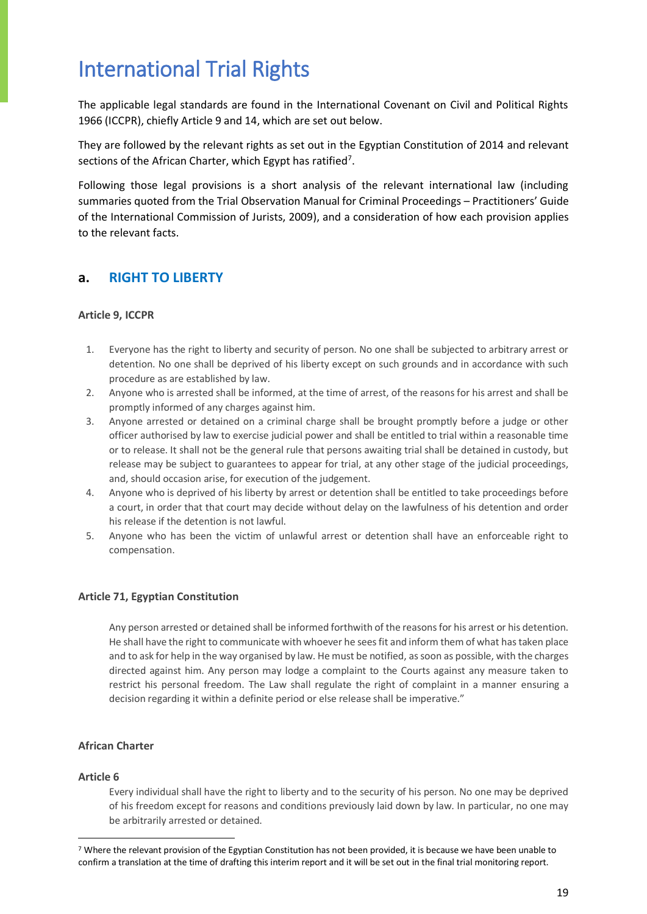### <span id="page-18-0"></span>International Trial Rights

The applicable legal standards are found in the International Covenant on Civil and Political Rights 1966 (ICCPR), chiefly Article 9 and 14, which are set out below.

They are followed by the relevant rights as set out in the Egyptian Constitution of 2014 and relevant sections of the African Charter, which Egypt has ratified<sup>7</sup>.

Following those legal provisions is a short analysis of the relevant international law (including summaries quoted from the Trial Observation Manual for Criminal Proceedings – Practitioners' Guide of the International Commission of Jurists, 2009), and a consideration of how each provision applies to the relevant facts.

#### <span id="page-18-1"></span>**a. RIGHT TO LIBERTY**

#### **Article 9, ICCPR**

- 1. Everyone has the right to liberty and security of person. No one shall be subjected to arbitrary arrest or detention. No one shall be deprived of his liberty except on such grounds and in accordance with such procedure as are established by law.
- 2. Anyone who is arrested shall be informed, at the time of arrest, of the reasons for his arrest and shall be promptly informed of any charges against him.
- 3. Anyone arrested or detained on a criminal charge shall be brought promptly before a judge or other officer authorised by law to exercise judicial power and shall be entitled to trial within a reasonable time or to release. It shall not be the general rule that persons awaiting trial shall be detained in custody, but release may be subject to guarantees to appear for trial, at any other stage of the judicial proceedings, and, should occasion arise, for execution of the judgement.
- 4. Anyone who is deprived of his liberty by arrest or detention shall be entitled to take proceedings before a court, in order that that court may decide without delay on the lawfulness of his detention and order his release if the detention is not lawful.
- 5. Anyone who has been the victim of unlawful arrest or detention shall have an enforceable right to compensation.

#### **Article 71, Egyptian Constitution**

Any person arrested or detained shall be informed forthwith of the reasons for his arrest or his detention. He shall have the right to communicate with whoever he sees fit and inform them of what has taken place and to ask for help in the way organised by law. He must be notified, as soon as possible, with the charges directed against him. Any person may lodge a complaint to the Courts against any measure taken to restrict his personal freedom. The Law shall regulate the right of complaint in a manner ensuring a decision regarding it within a definite period or else release shall be imperative."

#### **African Charter**

#### **Article 6**

-

Every individual shall have the right to liberty and to the security of his person. No one may be deprived of his freedom except for reasons and conditions previously laid down by law. In particular, no one may be arbitrarily arrested or detained.

<sup>7</sup> Where the relevant provision of the Egyptian Constitution has not been provided, it is because we have been unable to confirm a translation at the time of drafting this interim report and it will be set out in the final trial monitoring report.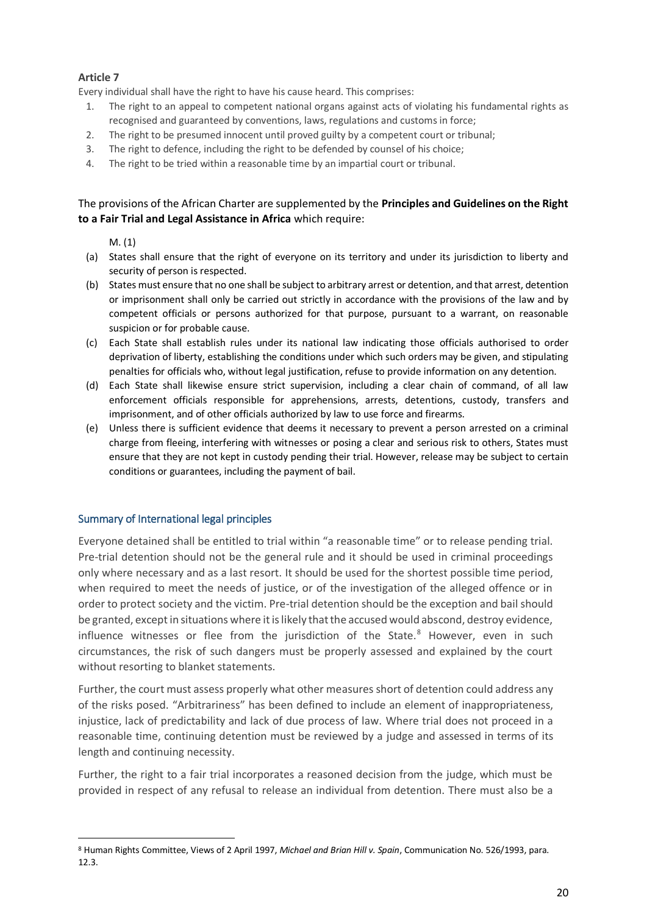#### **Article 7**

Every individual shall have the right to have his cause heard. This comprises:

- 1. The right to an appeal to competent national organs against acts of violating his fundamental rights as recognised and guaranteed by conventions, laws, regulations and customs in force;
- 2. The right to be presumed innocent until proved guilty by a competent court or tribunal;
- 3. The right to defence, including the right to be defended by counsel of his choice;
- 4. The right to be tried within a reasonable time by an impartial court or tribunal.

#### The provisions of the African Charter are supplemented by the **Principles and Guidelines on the Right to a Fair Trial and Legal Assistance in Africa** which require:

M. (1)

- (a) States shall ensure that the right of everyone on its territory and under its jurisdiction to liberty and security of person is respected.
- (b) States must ensure that no one shall be subject to arbitrary arrest or detention, and that arrest, detention or imprisonment shall only be carried out strictly in accordance with the provisions of the law and by competent officials or persons authorized for that purpose, pursuant to a warrant, on reasonable suspicion or for probable cause.
- (c) Each State shall establish rules under its national law indicating those officials authorised to order deprivation of liberty, establishing the conditions under which such orders may be given, and stipulating penalties for officials who, without legal justification, refuse to provide information on any detention.
- (d) Each State shall likewise ensure strict supervision, including a clear chain of command, of all law enforcement officials responsible for apprehensions, arrests, detentions, custody, transfers and imprisonment, and of other officials authorized by law to use force and firearms.
- (e) Unless there is sufficient evidence that deems it necessary to prevent a person arrested on a criminal charge from fleeing, interfering with witnesses or posing a clear and serious risk to others, States must ensure that they are not kept in custody pending their trial. However, release may be subject to certain conditions or guarantees, including the payment of bail.

#### <span id="page-19-0"></span>Summary of International legal principles

-

Everyone detained shall be entitled to trial within "a reasonable time" or to release pending trial. Pre-trial detention should not be the general rule and it should be used in criminal proceedings only where necessary and as a last resort. It should be used for the shortest possible time period, when required to meet the needs of justice, or of the investigation of the alleged offence or in order to protect society and the victim. Pre-trial detention should be the exception and bail should be granted, except in situations where it is likely that the accused would abscond, destroy evidence, influence witnesses or flee from the jurisdiction of the State. $8$  However, even in such circumstances, the risk of such dangers must be properly assessed and explained by the court without resorting to blanket statements.

Further, the court must assess properly what other measures short of detention could address any of the risks posed. "Arbitrariness" has been defined to include an element of inappropriateness, injustice, lack of predictability and lack of due process of law. Where trial does not proceed in a reasonable time, continuing detention must be reviewed by a judge and assessed in terms of its length and continuing necessity.

Further, the right to a fair trial incorporates a reasoned decision from the judge, which must be provided in respect of any refusal to release an individual from detention. There must also be a

<sup>8</sup> Human Rights Committee, Views of 2 April 1997, *Michael and Brian Hill v. Spain*, Communication No. 526/1993, para. 12.3.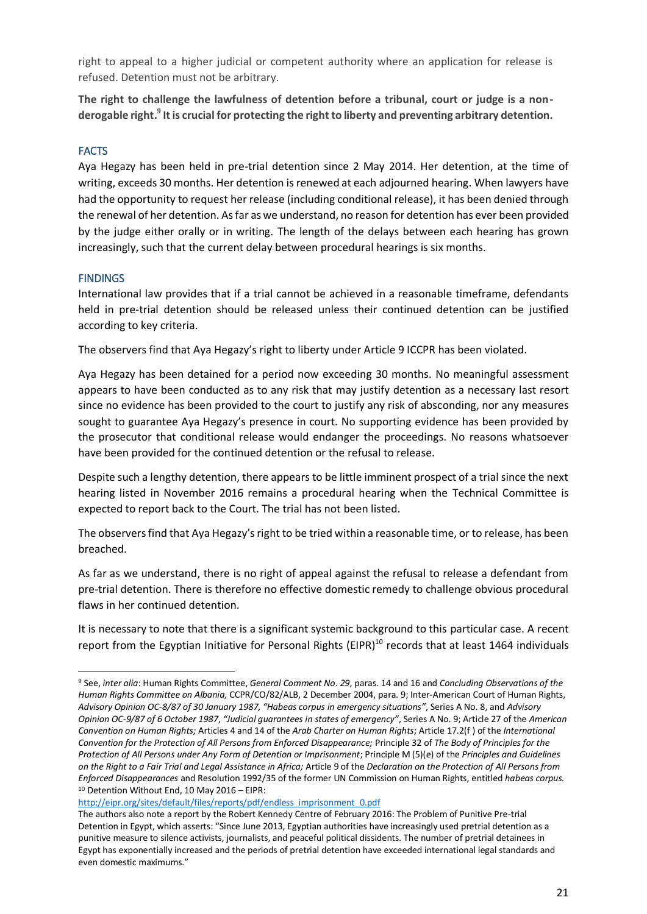right to appeal to a higher judicial or competent authority where an application for release is refused. Detention must not be arbitrary.

**The right to challenge the lawfulness of detention before a tribunal, court or judge is a non**derogable right.<sup>9</sup> It is crucial for protecting the right to liberty and preventing arbitrary detention.

#### <span id="page-20-0"></span>FACTS

Aya Hegazy has been held in pre-trial detention since 2 May 2014. Her detention, at the time of writing, exceeds 30 months. Her detention is renewed at each adjourned hearing. When lawyers have had the opportunity to request her release (including conditional release), it has been denied through the renewal of her detention. As far as we understand, no reason for detention has ever been provided by the judge either orally or in writing. The length of the delays between each hearing has grown increasingly, such that the current delay between procedural hearings is six months.

#### <span id="page-20-1"></span>**FINDINGS**

**.** 

International law provides that if a trial cannot be achieved in a reasonable timeframe, defendants held in pre-trial detention should be released unless their continued detention can be justified according to key criteria.

The observers find that Aya Hegazy's right to liberty under Article 9 ICCPR has been violated.

Aya Hegazy has been detained for a period now exceeding 30 months. No meaningful assessment appears to have been conducted as to any risk that may justify detention as a necessary last resort since no evidence has been provided to the court to justify any risk of absconding, nor any measures sought to guarantee Aya Hegazy's presence in court. No supporting evidence has been provided by the prosecutor that conditional release would endanger the proceedings. No reasons whatsoever have been provided for the continued detention or the refusal to release.

Despite such a lengthy detention, there appears to be little imminent prospect of a trial since the next hearing listed in November 2016 remains a procedural hearing when the Technical Committee is expected to report back to the Court. The trial has not been listed.

The observers find that Aya Hegazy's right to be tried within a reasonable time, or to release, has been breached.

As far as we understand, there is no right of appeal against the refusal to release a defendant from pre-trial detention. There is therefore no effective domestic remedy to challenge obvious procedural flaws in her continued detention.

It is necessary to note that there is a significant systemic background to this particular case. A recent report from the Egyptian Initiative for Personal Rights (EIPR)<sup>10</sup> records that at least 1464 individuals

[http://eipr.org/sites/default/files/reports/pdf/endless\\_imprisonment\\_0.pdf](http://eipr.org/sites/default/files/reports/pdf/endless_imprisonment_0.pdf)

<sup>9</sup> See, *inter alia*: Human Rights Committee, *General Comment No*. *29*, paras. 14 and 16 and *Concluding Observations of the Human Rights Committee on Albania,* CCPR/CO/82/ALB, 2 December 2004, para. 9; Inter-American Court of Human Rights, *Advisory Opinion OC-8/87 of 30 January 1987, "Habeas corpus in emergency situations"*, Series A No. 8, and *Advisory Opinion OC-9/87 of 6 October 1987*, *"Judicial guarantees in states of emergency"*, Series A No. 9; Article 27 of the *American Convention on Human Rights;* Articles 4 and 14 of the *Arab Charter on Human Rights*; Article 17.2(f ) of the *International Convention for the Protection of All Persons from Enforced Disappearance;* Principle 32 of *The Body of Principles for the Protection of All Persons under Any Form of Detention or Imprisonment*; Principle M (5)(e) of the *Principles and Guidelines on the Right to a Fair Trial and Legal Assistance in Africa;* Article 9 of the *Declaration on the Protection of All Persons from Enforced Disappearances* and Resolution 1992/35 of the former UN Commission on Human Rights, entitled *habeas corpus.* <sup>10</sup> Detention Without End, 10 May 2016 – EIPR:

The authors also note a report by the Robert Kennedy Centre of February 2016: The Problem of Punitive Pre-trial Detention in Egypt, which asserts: "Since June 2013, Egyptian authorities have increasingly used pretrial detention as a punitive measure to silence activists, journalists, and peaceful political dissidents. The number of pretrial detainees in Egypt has exponentially increased and the periods of pretrial detention have exceeded international legal standards and even domestic maximums."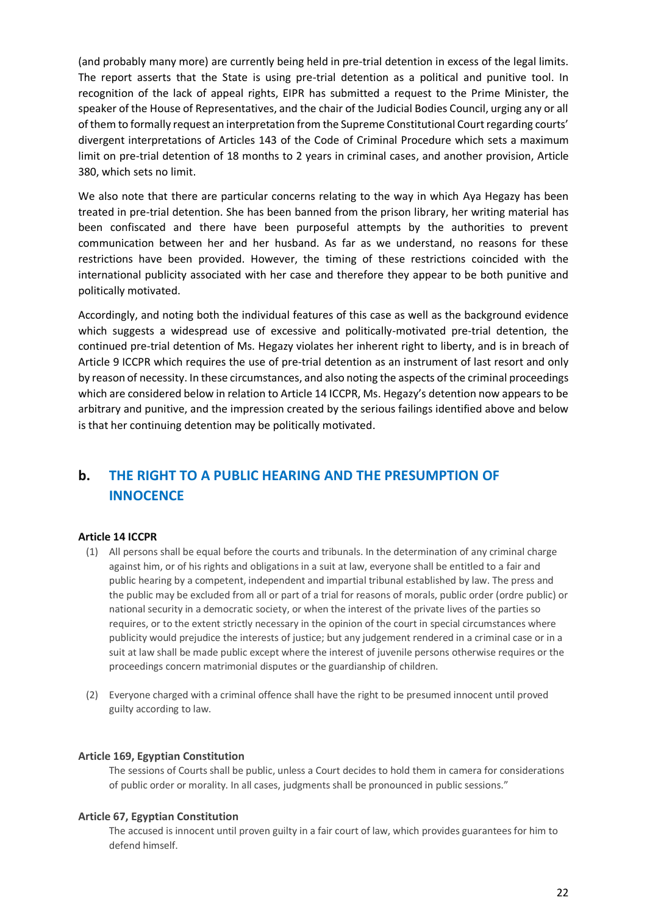(and probably many more) are currently being held in pre-trial detention in excess of the legal limits. The report asserts that the State is using pre-trial detention as a political and punitive tool. In recognition of the lack of appeal rights, EIPR has submitted a request to the Prime Minister, the speaker of the House of Representatives, and the chair of the Judicial Bodies Council, urging any or all of them to formally request an interpretation from the Supreme Constitutional Court regarding courts' divergent interpretations of Articles 143 of the Code of Criminal Procedure which sets a maximum limit on pre-trial detention of 18 months to 2 years in criminal cases, and another provision, Article 380, which sets no limit.

We also note that there are particular concerns relating to the way in which Aya Hegazy has been treated in pre-trial detention. She has been banned from the prison library, her writing material has been confiscated and there have been purposeful attempts by the authorities to prevent communication between her and her husband. As far as we understand, no reasons for these restrictions have been provided. However, the timing of these restrictions coincided with the international publicity associated with her case and therefore they appear to be both punitive and politically motivated.

Accordingly, and noting both the individual features of this case as well as the background evidence which suggests a widespread use of excessive and politically-motivated pre-trial detention, the continued pre-trial detention of Ms. Hegazy violates her inherent right to liberty, and is in breach of Article 9 ICCPR which requires the use of pre-trial detention as an instrument of last resort and only by reason of necessity. In these circumstances, and also noting the aspects of the criminal proceedings which are considered below in relation to Article 14 ICCPR, Ms. Hegazy's detention now appears to be arbitrary and punitive, and the impression created by the serious failings identified above and below is that her continuing detention may be politically motivated.

### <span id="page-21-0"></span>**b. THE RIGHT TO A PUBLIC HEARING AND THE PRESUMPTION OF INNOCENCE**

#### **Article 14 ICCPR**

- (1) All persons shall be equal before the courts and tribunals. In the determination of any criminal charge against him, or of his rights and obligations in a suit at law, everyone shall be entitled to a fair and public hearing by a competent, independent and impartial tribunal established by law. The press and the public may be excluded from all or part of a trial for reasons of morals, public order (ordre public) or national security in a democratic society, or when the interest of the private lives of the parties so requires, or to the extent strictly necessary in the opinion of the court in special circumstances where publicity would prejudice the interests of justice; but any judgement rendered in a criminal case or in a suit at law shall be made public except where the interest of juvenile persons otherwise requires or the proceedings concern matrimonial disputes or the guardianship of children.
- (2) Everyone charged with a criminal offence shall have the right to be presumed innocent until proved guilty according to law.

#### **Article 169, Egyptian Constitution**

The sessions of Courts shall be public, unless a Court decides to hold them in camera for considerations of public order or morality. In all cases, judgments shall be pronounced in public sessions."

#### **Article 67, Egyptian Constitution**

The accused is innocent until proven guilty in a fair court of law, which provides guarantees for him to defend himself.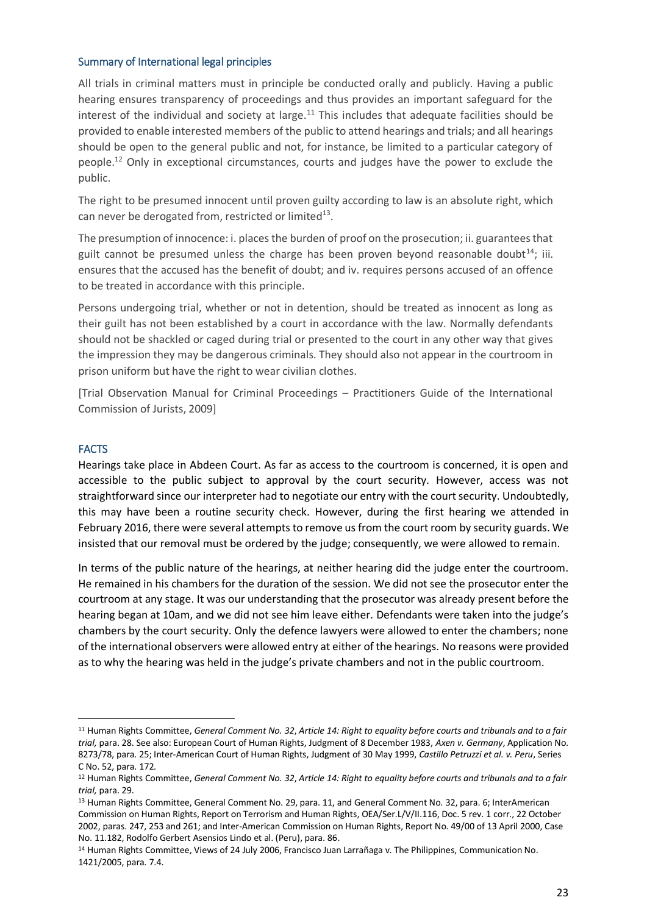#### <span id="page-22-0"></span>Summary of International legal principles

All trials in criminal matters must in principle be conducted orally and publicly. Having a public hearing ensures transparency of proceedings and thus provides an important safeguard for the interest of the individual and society at large.<sup>11</sup> This includes that adequate facilities should be provided to enable interested members of the public to attend hearings and trials; and all hearings should be open to the general public and not, for instance, be limited to a particular category of people.<sup>12</sup> Only in exceptional circumstances, courts and judges have the power to exclude the public.

The right to be presumed innocent until proven guilty according to law is an absolute right, which can never be derogated from, restricted or limited $^{13}$ .

The presumption of innocence: i. places the burden of proof on the prosecution; ii. guarantees that guilt cannot be presumed unless the charge has been proven beyond reasonable doubt<sup>14</sup>; iii. ensures that the accused has the benefit of doubt; and iv. requires persons accused of an offence to be treated in accordance with this principle.

Persons undergoing trial, whether or not in detention, should be treated as innocent as long as their guilt has not been established by a court in accordance with the law. Normally defendants should not be shackled or caged during trial or presented to the court in any other way that gives the impression they may be dangerous criminals. They should also not appear in the courtroom in prison uniform but have the right to wear civilian clothes.

[Trial Observation Manual for Criminal Proceedings – Practitioners Guide of the International Commission of Jurists, 2009]

#### <span id="page-22-1"></span>FACTS

1

Hearings take place in Abdeen Court. As far as access to the courtroom is concerned, it is open and accessible to the public subject to approval by the court security. However, access was not straightforward since our interpreter had to negotiate our entry with the court security. Undoubtedly, this may have been a routine security check. However, during the first hearing we attended in February 2016, there were several attempts to remove us from the court room by security guards. We insisted that our removal must be ordered by the judge; consequently, we were allowed to remain.

In terms of the public nature of the hearings, at neither hearing did the judge enter the courtroom. He remained in his chambers for the duration of the session. We did not see the prosecutor enter the courtroom at any stage. It was our understanding that the prosecutor was already present before the hearing began at 10am, and we did not see him leave either. Defendants were taken into the judge's chambers by the court security. Only the defence lawyers were allowed to enter the chambers; none of the international observers were allowed entry at either of the hearings. No reasons were provided as to why the hearing was held in the judge's private chambers and not in the public courtroom.

<sup>11</sup> Human Rights Committee, *General Comment No. 32*, *Article 14: Right to equality before courts and tribunals and to a fair trial,* para. 28. See also: European Court of Human Rights, Judgment of 8 December 1983, *Axen v. Germany*, Application No. 8273/78, para. 25; Inter-American Court of Human Rights, Judgment of 30 May 1999, *Castillo Petruzzi et al. v. Peru*, Series C No. 52, para. 172.

<sup>12</sup> Human Rights Committee, *General Comment No. 32*, *Article 14: Right to equality before courts and tribunals and to a fair trial,* para. 29.

<sup>13</sup> Human Rights Committee, General Comment No. 29, para. 11, and General Comment No. 32, para. 6; InterAmerican Commission on Human Rights, Report on Terrorism and Human Rights, OEA/Ser.L/V/II.116, Doc. 5 rev. 1 corr., 22 October 2002, paras. 247, 253 and 261; and Inter-American Commission on Human Rights, Report No. 49/00 of 13 April 2000, Case No. 11.182, Rodolfo Gerbert Asensios Lindo et al. (Peru), para. 86.

<sup>14</sup> Human Rights Committee, Views of 24 July 2006, Francisco Juan Larrañaga v. The Philippines, Communication No. 1421/2005, para. 7.4.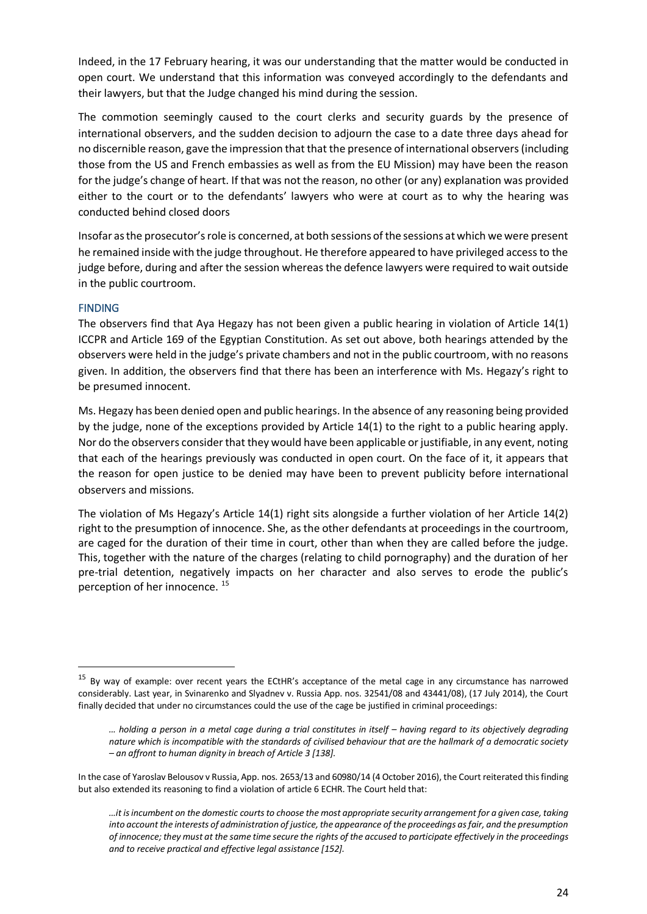Indeed, in the 17 February hearing, it was our understanding that the matter would be conducted in open court. We understand that this information was conveyed accordingly to the defendants and their lawyers, but that the Judge changed his mind during the session.

The commotion seemingly caused to the court clerks and security guards by the presence of international observers, and the sudden decision to adjourn the case to a date three days ahead for no discernible reason, gave the impression that that the presence of international observers(including those from the US and French embassies as well as from the EU Mission) may have been the reason for the judge's change of heart. If that was not the reason, no other (or any) explanation was provided either to the court or to the defendants' lawyers who were at court as to why the hearing was conducted behind closed doors

Insofar as the prosecutor's role is concerned, at both sessions of the sessions at which we were present he remained inside with the judge throughout. He therefore appeared to have privileged access to the judge before, during and after the session whereas the defence lawyers were required to wait outside in the public courtroom.

#### <span id="page-23-0"></span>**FINDING**

1

The observers find that Aya Hegazy has not been given a public hearing in violation of Article 14(1) ICCPR and Article 169 of the Egyptian Constitution. As set out above, both hearings attended by the observers were held in the judge's private chambers and not in the public courtroom, with no reasons given. In addition, the observers find that there has been an interference with Ms. Hegazy's right to be presumed innocent.

Ms. Hegazy has been denied open and public hearings. In the absence of any reasoning being provided by the judge, none of the exceptions provided by Article 14(1) to the right to a public hearing apply. Nor do the observers consider that they would have been applicable or justifiable, in any event, noting that each of the hearings previously was conducted in open court. On the face of it, it appears that the reason for open justice to be denied may have been to prevent publicity before international observers and missions.

The violation of Ms Hegazy's Article 14(1) right sits alongside a further violation of her Article 14(2) right to the presumption of innocence. She, as the other defendants at proceedings in the courtroom, are caged for the duration of their time in court, other than when they are called before the judge. This, together with the nature of the charges (relating to child pornography) and the duration of her pre-trial detention, negatively impacts on her character and also serves to erode the public's perception of her innocence. <sup>15</sup>

<sup>&</sup>lt;sup>15</sup> By way of example: over recent years the ECtHR's acceptance of the metal cage in any circumstance has narrowed considerably. Last year, in Svinarenko and Slyadnev v. Russia App. nos. 32541/08 and 43441/08), (17 July 2014), the Court finally decided that under no circumstances could the use of the cage be justified in criminal proceedings:

*<sup>…</sup> holding a person in a metal cage during a trial constitutes in itself – having regard to its objectively degrading nature which is incompatible with the standards of civilised behaviour that are the hallmark of a democratic society – an affront to human dignity in breach of Article 3 [138].*

In the case of Yaroslav Belousov v Russia, App. nos. 2653/13 and 60980/14 (4 October 2016), the Court reiterated this finding but also extended its reasoning to find a violation of article 6 ECHR. The Court held that:

*<sup>…</sup>it is incumbent on the domestic courts to choose the most appropriate security arrangement for a given case, taking into account the interests of administration of justice, the appearance of the proceedings as fair, and the presumption of innocence; they must at the same time secure the rights of the accused to participate effectively in the proceedings and to receive practical and effective legal assistance [152].*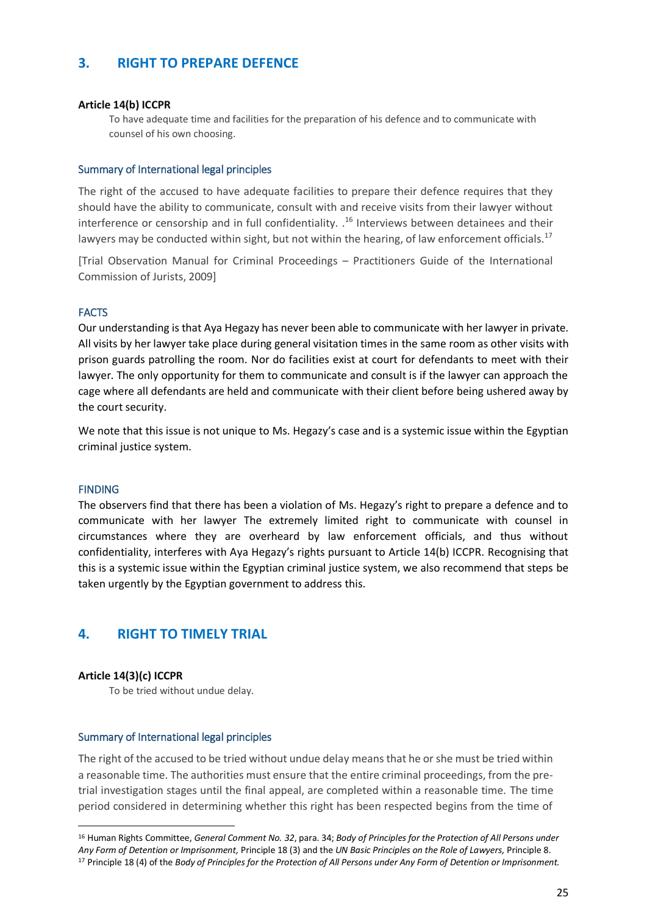### <span id="page-24-0"></span>**3. RIGHT TO PREPARE DEFENCE**

#### **Article 14(b) ICCPR**

To have adequate time and facilities for the preparation of his defence and to communicate with counsel of his own choosing.

#### <span id="page-24-1"></span>Summary of International legal principles

The right of the accused to have adequate facilities to prepare their defence requires that they should have the ability to communicate, consult with and receive visits from their lawyer without interference or censorship and in full confidentiality. .<sup>16</sup> Interviews between detainees and their lawyers may be conducted within sight, but not within the hearing, of law enforcement officials.<sup>17</sup>

[Trial Observation Manual for Criminal Proceedings – Practitioners Guide of the International Commission of Jurists, 2009]

#### <span id="page-24-2"></span>FACTS

Our understanding is that Aya Hegazy has never been able to communicate with her lawyer in private. All visits by her lawyer take place during general visitation times in the same room as other visits with prison guards patrolling the room. Nor do facilities exist at court for defendants to meet with their lawyer. The only opportunity for them to communicate and consult is if the lawyer can approach the cage where all defendants are held and communicate with their client before being ushered away by the court security.

We note that this issue is not unique to Ms. Hegazy's case and is a systemic issue within the Egyptian criminal justice system.

#### <span id="page-24-3"></span>FINDING

The observers find that there has been a violation of Ms. Hegazy's right to prepare a defence and to communicate with her lawyer The extremely limited right to communicate with counsel in circumstances where they are overheard by law enforcement officials, and thus without confidentiality, interferes with Aya Hegazy's rights pursuant to Article 14(b) ICCPR. Recognising that this is a systemic issue within the Egyptian criminal justice system, we also recommend that steps be taken urgently by the Egyptian government to address this.

#### <span id="page-24-4"></span>**4. RIGHT TO TIMELY TRIAL**

#### **Article 14(3)(c) ICCPR**

**.** 

To be tried without undue delay.

#### <span id="page-24-5"></span>Summary of International legal principles

The right of the accused to be tried without undue delay means that he or she must be tried within a reasonable time. The authorities must ensure that the entire criminal proceedings, from the pretrial investigation stages until the final appeal, are completed within a reasonable time. The time period considered in determining whether this right has been respected begins from the time of

<sup>16</sup> Human Rights Committee, *General Comment No. 32*, para. 34; *Body of Principles for the Protection of All Persons under Any Form of Detention or Imprisonment,* Principle 18 (3) and the *UN Basic Principles on the Role of Lawyers,* Principle 8. <sup>17</sup> Principle 18 (4) of the *Body of Principles for the Protection of All Persons under Any Form of Detention or Imprisonment.*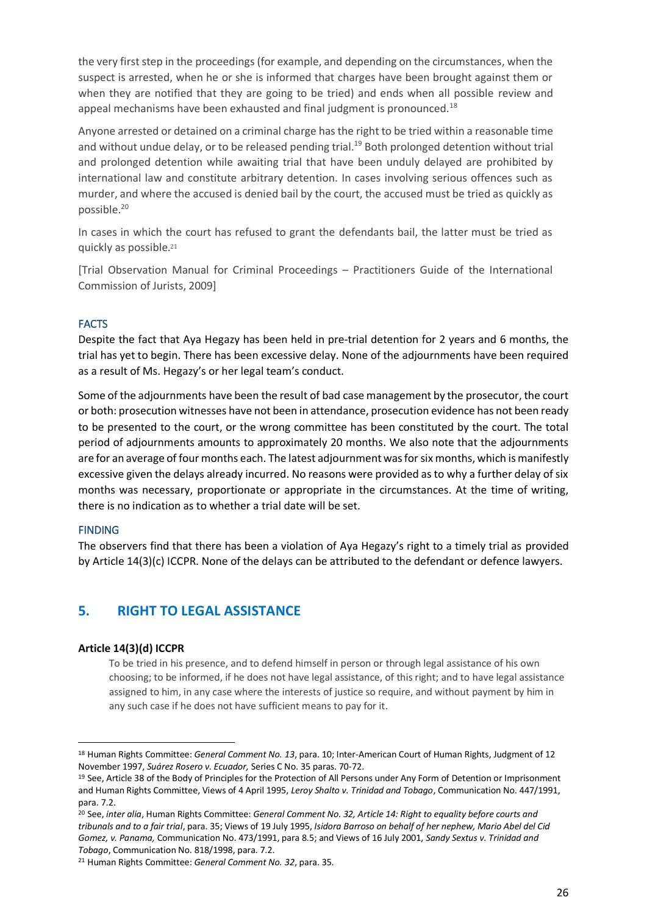the very first step in the proceedings (for example, and depending on the circumstances, when the suspect is arrested, when he or she is informed that charges have been brought against them or when they are notified that they are going to be tried) and ends when all possible review and appeal mechanisms have been exhausted and final judgment is pronounced.<sup>18</sup>

Anyone arrested or detained on a criminal charge has the right to be tried within a reasonable time and without undue delay, or to be released pending trial.<sup>19</sup> Both prolonged detention without trial and prolonged detention while awaiting trial that have been unduly delayed are prohibited by international law and constitute arbitrary detention. In cases involving serious offences such as murder, and where the accused is denied bail by the court, the accused must be tried as quickly as possible.<sup>20</sup>

In cases in which the court has refused to grant the defendants bail, the latter must be tried as quickly as possible.<sup>21</sup>

[Trial Observation Manual for Criminal Proceedings – Practitioners Guide of the International Commission of Jurists, 2009]

#### <span id="page-25-0"></span>FACTS

Despite the fact that Aya Hegazy has been held in pre-trial detention for 2 years and 6 months, the trial has yet to begin. There has been excessive delay. None of the adjournments have been required as a result of Ms. Hegazy's or her legal team's conduct.

Some of the adjournments have been the result of bad case management by the prosecutor, the court or both: prosecution witnesses have not been in attendance, prosecution evidence has not been ready to be presented to the court, or the wrong committee has been constituted by the court. The total period of adjournments amounts to approximately 20 months. We also note that the adjournments are for an average of four months each. The latest adjournment was for sixmonths, which is manifestly excessive given the delays already incurred. No reasons were provided as to why a further delay of six months was necessary, proportionate or appropriate in the circumstances. At the time of writing, there is no indication as to whether a trial date will be set.

#### <span id="page-25-1"></span>FINDING

1

The observers find that there has been a violation of Aya Hegazy's right to a timely trial as provided by Article 14(3)(c) ICCPR. None of the delays can be attributed to the defendant or defence lawyers.

### <span id="page-25-2"></span>**5. RIGHT TO LEGAL ASSISTANCE**

#### **Article 14(3)(d) ICCPR**

To be tried in his presence, and to defend himself in person or through legal assistance of his own choosing; to be informed, if he does not have legal assistance, of this right; and to have legal assistance assigned to him, in any case where the interests of justice so require, and without payment by him in any such case if he does not have sufficient means to pay for it.

<sup>18</sup> Human Rights Committee: *General Comment No. 13*, para. 10; Inter-American Court of Human Rights, Judgment of 12 November 1997, *Suárez Rosero v. Ecuador,* Series C No. 35 paras. 70-72.

<sup>&</sup>lt;sup>19</sup> See, Article 38 of the Body of Principles for the Protection of All Persons under Any Form of Detention or Imprisonment and Human Rights Committee, Views of 4 April 1995, *Leroy Shalto v. Trinidad and Tobago*, Communication No. 447/1991, para. 7.2.

<sup>20</sup> See, *inter alia*, Human Rights Committee: *General Comment No. 32, Article 14: Right to equality before courts and tribunals and to a fair trial*, para. 35; Views of 19 July 1995, *Isidora Barroso on behalf of her nephew, Mario Abel del Cid Gomez, v. Panama,* Communication No. 473/1991, para 8.5; and Views of 16 July 2001, *Sandy Sextus v. Trinidad and Tobago*, Communication No. 818/1998, para. 7.2.

<sup>21</sup> Human Rights Committee: *General Comment No. 32*, para. 35.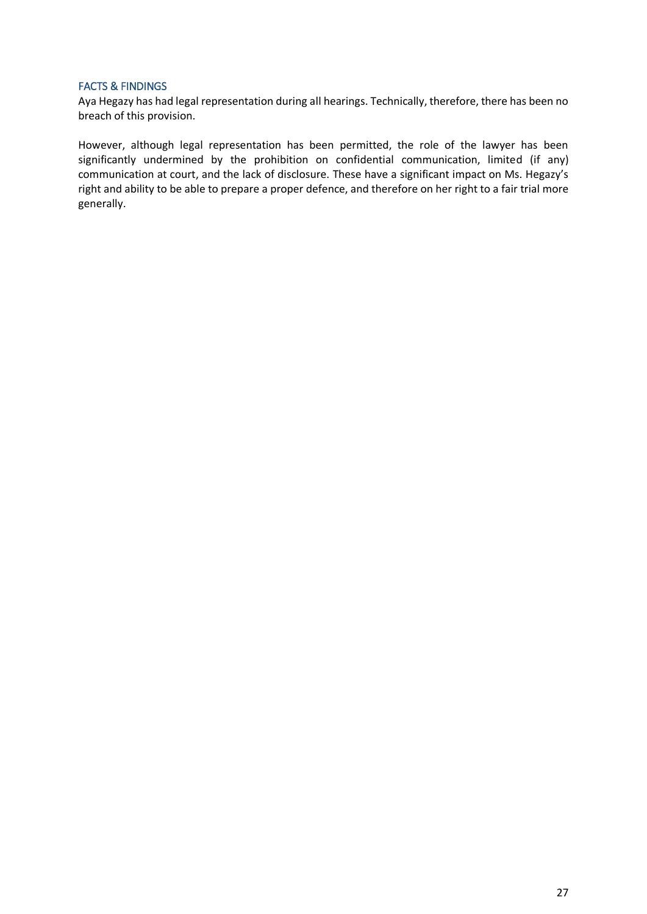#### FACTS & FINDINGS

Aya Hegazy has had legal representation during all hearings. Technically, therefore, there has been no breach of this provision.

However, although legal representation has been permitted, the role of the lawyer has been significantly undermined by the prohibition on confidential communication, limited (if any) communication at court, and the lack of disclosure. These have a significant impact on Ms. Hegazy's right and ability to be able to prepare a proper defence, and therefore on her right to a fair trial more generally.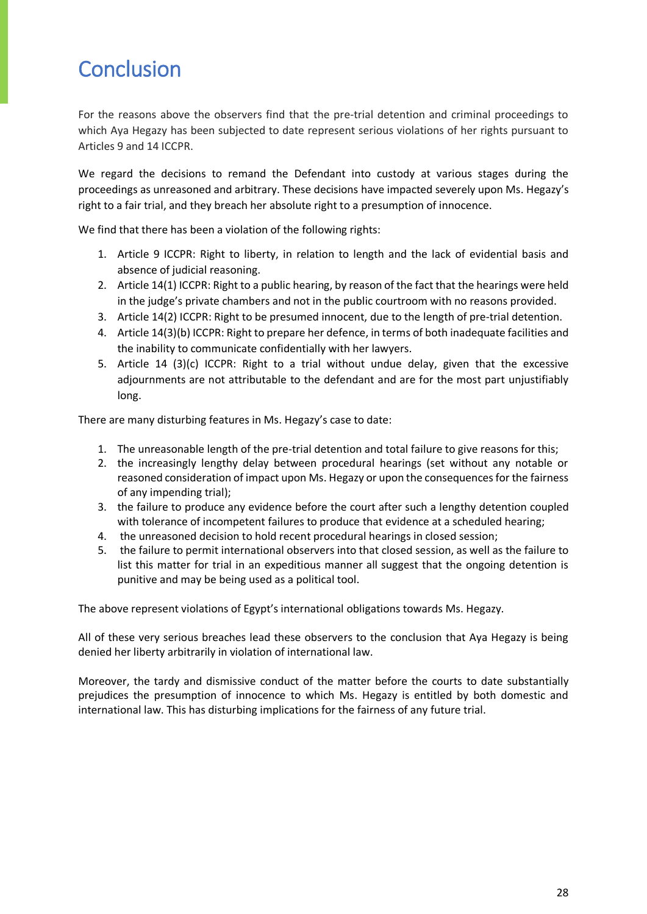# <span id="page-27-0"></span>**Conclusion**

For the reasons above the observers find that the pre-trial detention and criminal proceedings to which Aya Hegazy has been subjected to date represent serious violations of her rights pursuant to Articles 9 and 14 ICCPR.

We regard the decisions to remand the Defendant into custody at various stages during the proceedings as unreasoned and arbitrary. These decisions have impacted severely upon Ms. Hegazy's right to a fair trial, and they breach her absolute right to a presumption of innocence.

We find that there has been a violation of the following rights:

- 1. Article 9 ICCPR: Right to liberty, in relation to length and the lack of evidential basis and absence of judicial reasoning.
- 2. Article 14(1) ICCPR: Right to a public hearing, by reason of the fact that the hearings were held in the judge's private chambers and not in the public courtroom with no reasons provided.
- 3. Article 14(2) ICCPR: Right to be presumed innocent, due to the length of pre-trial detention.
- 4. Article 14(3)(b) ICCPR: Right to prepare her defence, in terms of both inadequate facilities and the inability to communicate confidentially with her lawyers.
- 5. Article 14 (3)(c) ICCPR: Right to a trial without undue delay, given that the excessive adjournments are not attributable to the defendant and are for the most part unjustifiably long.

There are many disturbing features in Ms. Hegazy's case to date:

- 1. The unreasonable length of the pre-trial detention and total failure to give reasons for this;
- 2. the increasingly lengthy delay between procedural hearings (set without any notable or reasoned consideration of impact upon Ms. Hegazy or upon the consequences for the fairness of any impending trial);
- 3. the failure to produce any evidence before the court after such a lengthy detention coupled with tolerance of incompetent failures to produce that evidence at a scheduled hearing;
- 4. the unreasoned decision to hold recent procedural hearings in closed session;
- 5. the failure to permit international observers into that closed session, as well as the failure to list this matter for trial in an expeditious manner all suggest that the ongoing detention is punitive and may be being used as a political tool.

The above represent violations of Egypt's international obligations towards Ms. Hegazy.

All of these very serious breaches lead these observers to the conclusion that Aya Hegazy is being denied her liberty arbitrarily in violation of international law.

Moreover, the tardy and dismissive conduct of the matter before the courts to date substantially prejudices the presumption of innocence to which Ms. Hegazy is entitled by both domestic and international law. This has disturbing implications for the fairness of any future trial.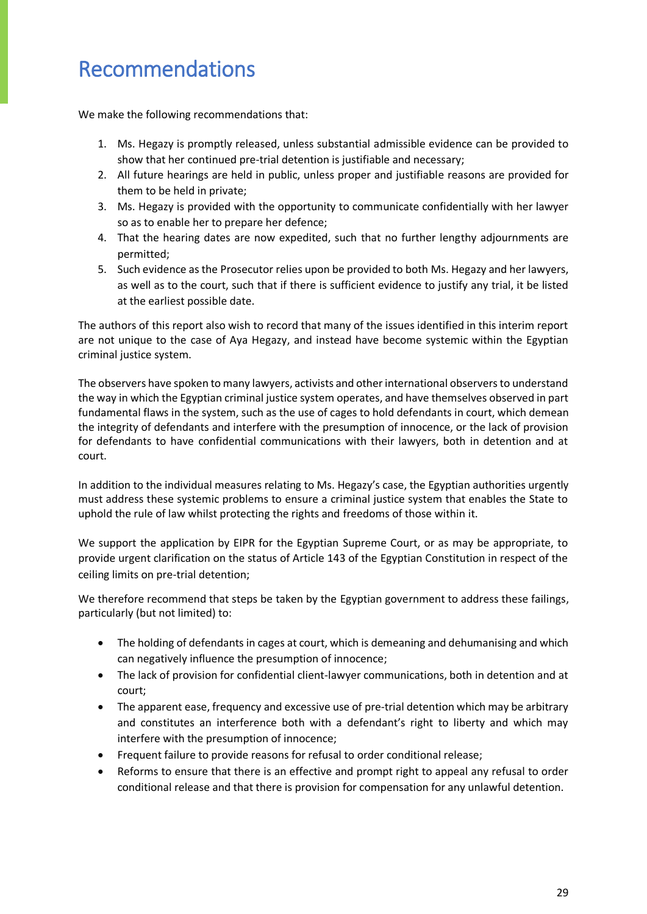# <span id="page-28-0"></span>Recommendations

We make the following recommendations that:

- 1. Ms. Hegazy is promptly released, unless substantial admissible evidence can be provided to show that her continued pre-trial detention is justifiable and necessary;
- 2. All future hearings are held in public, unless proper and justifiable reasons are provided for them to be held in private;
- 3. Ms. Hegazy is provided with the opportunity to communicate confidentially with her lawyer so as to enable her to prepare her defence;
- 4. That the hearing dates are now expedited, such that no further lengthy adjournments are permitted;
- 5. Such evidence as the Prosecutor relies upon be provided to both Ms. Hegazy and her lawyers, as well as to the court, such that if there is sufficient evidence to justify any trial, it be listed at the earliest possible date.

The authors of this report also wish to record that many of the issues identified in this interim report are not unique to the case of Aya Hegazy, and instead have become systemic within the Egyptian criminal justice system.

The observers have spoken to many lawyers, activists and other international observers to understand the way in which the Egyptian criminal justice system operates, and have themselves observed in part fundamental flaws in the system, such as the use of cages to hold defendants in court, which demean the integrity of defendants and interfere with the presumption of innocence, or the lack of provision for defendants to have confidential communications with their lawyers, both in detention and at court.

In addition to the individual measures relating to Ms. Hegazy's case, the Egyptian authorities urgently must address these systemic problems to ensure a criminal justice system that enables the State to uphold the rule of law whilst protecting the rights and freedoms of those within it.

We support the application by EIPR for the Egyptian Supreme Court, or as may be appropriate, to provide urgent clarification on the status of Article 143 of the Egyptian Constitution in respect of the ceiling limits on pre-trial detention;

We therefore recommend that steps be taken by the Egyptian government to address these failings, particularly (but not limited) to:

- The holding of defendants in cages at court, which is demeaning and dehumanising and which can negatively influence the presumption of innocence;
- The lack of provision for confidential client-lawyer communications, both in detention and at court;
- The apparent ease, frequency and excessive use of pre-trial detention which may be arbitrary and constitutes an interference both with a defendant's right to liberty and which may interfere with the presumption of innocence;
- Frequent failure to provide reasons for refusal to order conditional release;
- Reforms to ensure that there is an effective and prompt right to appeal any refusal to order conditional release and that there is provision for compensation for any unlawful detention.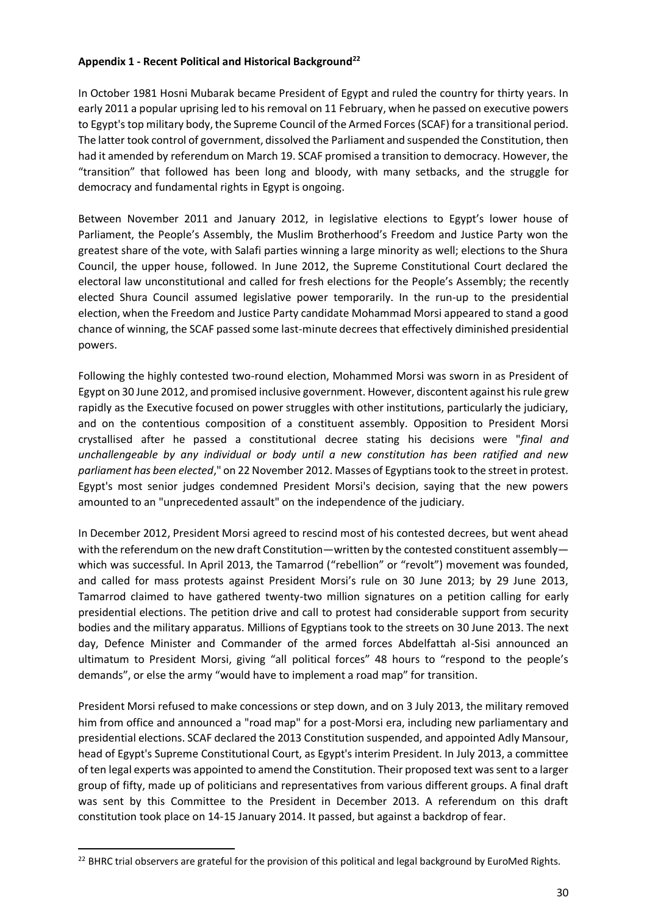#### **Appendix 1 - Recent Political and Historical Background<sup>22</sup>**

In October 1981 Hosni Mubarak became President of Egypt and ruled the country for thirty years. In early 2011 a popular uprising led to his removal on 11 February, when he passed on executive powers to Egypt's top military body, the Supreme Council of the Armed Forces (SCAF) for a transitional period. The latter took control of government, dissolved the Parliament and suspended the Constitution, then had it amended by referendum on March 19. SCAF promised a transition to democracy. However, the "transition" that followed has been long and bloody, with many setbacks, and the struggle for democracy and fundamental rights in Egypt is ongoing.

Between November 2011 and January 2012, in legislative elections to Egypt's lower house of Parliament, the People's Assembly, the Muslim Brotherhood's Freedom and Justice Party won the greatest share of the vote, with Salafi parties winning a large minority as well; elections to the Shura Council, the upper house, followed. In June 2012, the Supreme Constitutional Court declared the electoral law unconstitutional and called for fresh elections for the People's Assembly; the recently elected Shura Council assumed legislative power temporarily. In the run-up to the presidential election, when the Freedom and Justice Party candidate Mohammad Morsi appeared to stand a good chance of winning, the SCAF passed some last-minute decrees that effectively diminished presidential powers.

Following the highly contested two-round election, Mohammed Morsi was sworn in as President of Egypt on 30 June 2012, and promised inclusive government. However, discontent against his rule grew rapidly as the Executive focused on power struggles with other institutions, particularly the judiciary, and on the contentious composition of a constituent assembly. Opposition to President Morsi crystallised after he passed a constitutional decree stating his decisions were "*final and unchallengeable by any individual or body until a new constitution has been ratified and new parliament has been elected*," on 22 November 2012. Masses of Egyptians took to the street in protest. Egypt's most senior judges condemned President Morsi's decision, saying that the new powers amounted to an "unprecedented assault" on the independence of the judiciary.

In December 2012, President Morsi agreed to rescind most of his contested decrees, but went ahead with the referendum on the new draft Constitution—written by the contested constituent assembly which was successful. In April 2013, the Tamarrod ("rebellion" or "revolt") movement was founded, and called for mass protests against President Morsi's rule on 30 June 2013; by 29 June 2013, Tamarrod claimed to have gathered twenty-two million signatures on a petition calling for early presidential elections. The petition drive and call to protest had considerable support from security bodies and the military apparatus. Millions of Egyptians took to the streets on 30 June 2013. The next day, Defence Minister and Commander of the armed forces Abdelfattah al-Sisi announced an ultimatum to President Morsi, giving "all political forces" 48 hours to "respond to the people's demands", or else the army "would have to implement a road map" for transition.

President Morsi refused to make concessions or step down, and on 3 July 2013, the military removed him from office and announced a "road map" for a post-Morsi era, including new parliamentary and presidential elections. SCAF declared the 2013 Constitution suspended, and appointed Adly Mansour, head of Egypt's Supreme Constitutional Court, as Egypt's interim President. In July 2013, a committee of ten legal experts was appointed to amend the Constitution. Their proposed text wassent to a larger group of fifty, made up of politicians and representatives from various different groups. A final draft was sent by this Committee to the President in December 2013. A referendum on this draft constitution took place on 14-15 January 2014. It passed, but against a backdrop of fear.

**.** 

<sup>&</sup>lt;sup>22</sup> BHRC trial observers are grateful for the provision of this political and legal background by EuroMed Rights.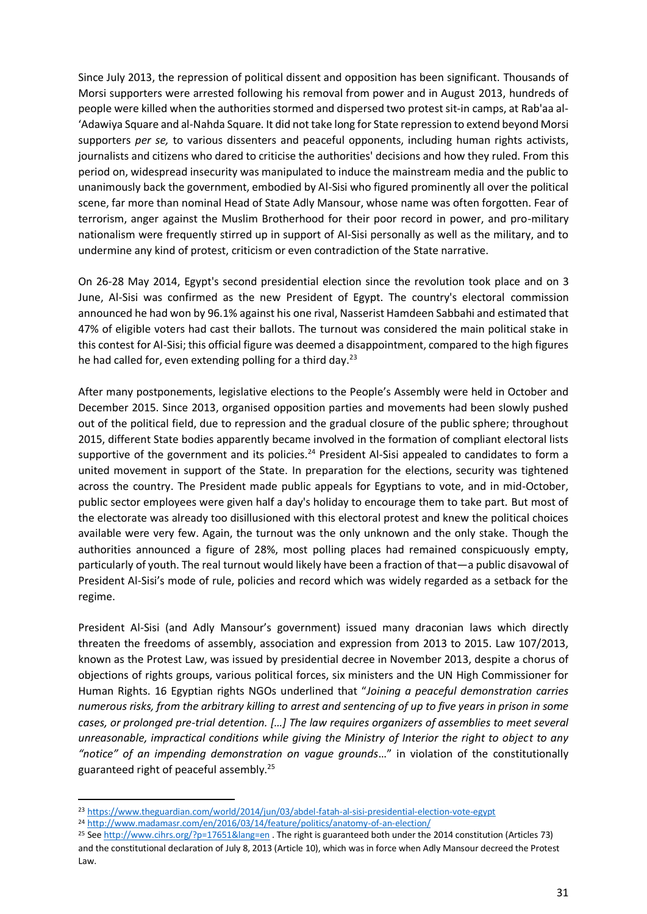Since July 2013, the repression of political dissent and opposition has been significant. Thousands of Morsi supporters were arrested following his removal from power and in August 2013, hundreds of people were killed when the authorities stormed and dispersed two protest sit-in camps, at Rab'aa al- 'Adawiya Square and al-Nahda Square. It did not take long for State repression to extend beyond Morsi supporters *per se,* to various dissenters and peaceful opponents, including human rights activists, journalists and citizens who dared to criticise the authorities' decisions and how they ruled. From this period on, widespread insecurity was manipulated to induce the mainstream media and the public to unanimously back the government, embodied by Al-Sisi who figured prominently all over the political scene, far more than nominal Head of State Adly Mansour, whose name was often forgotten. Fear of terrorism, anger against the Muslim Brotherhood for their poor record in power, and pro-military nationalism were frequently stirred up in support of Al-Sisi personally as well as the military, and to undermine any kind of protest, criticism or even contradiction of the State narrative.

On 26-28 May 2014, Egypt's second presidential election since the revolution took place and on 3 June, Al-Sisi was confirmed as the new President of Egypt. The country's electoral commission announced he had won by 96.1% against his one rival, Nasserist Hamdeen Sabbahi and estimated that 47% of eligible voters had cast their ballots. The turnout was considered the main political stake in this contest for Al-Sisi; this official figure was deemed a disappointment, compared to the high figures he had called for, even extending polling for a third day. $^{23}$ 

After many postponements, legislative elections to the People's Assembly were held in October and December 2015. Since 2013, organised opposition parties and movements had been slowly pushed out of the political field, due to repression and the gradual closure of the public sphere; throughout 2015, different State bodies apparently became involved in the formation of compliant electoral lists supportive of the government and its policies.<sup>24</sup> President Al-Sisi appealed to candidates to form a united movement in support of the State. In preparation for the elections, security was tightened across the country. The President made public appeals for Egyptians to vote, and in mid-October, public sector employees were given half a day's holiday to encourage them to take part. But most of the electorate was already too disillusioned with this electoral protest and knew the political choices available were very few. Again, the turnout was the only unknown and the only stake. Though the authorities announced a figure of 28%, most polling places had remained conspicuously empty, particularly of youth. The real turnout would likely have been a fraction of that—a public disavowal of President Al-Sisi's mode of rule, policies and record which was widely regarded as a setback for the regime.

President Al-Sisi (and Adly Mansour's government) issued many draconian laws which directly threaten the freedoms of assembly, association and expression from 2013 to 2015. Law 107/2013, known as the Protest Law, was issued by presidential decree in November 2013, despite a chorus of objections of rights groups, various political forces, six ministers and the UN High Commissioner for Human Rights. 16 Egyptian rights NGOs underlined that "*Joining a peaceful demonstration carries numerous risks, from the arbitrary killing to arrest and sentencing of up to five years in prison in some cases, or prolonged pre-trial detention. […] The law requires organizers of assemblies to meet several unreasonable, impractical conditions while giving the Ministry of Interior the right to object to any "notice" of an impending demonstration on vague grounds*…" in violation of the constitutionally guaranteed right of peaceful assembly.<sup>25</sup>

**.** 

<sup>23</sup> <https://www.theguardian.com/world/2014/jun/03/abdel-fatah-al-sisi-presidential-election-vote-egypt>

<sup>24</sup> <http://www.madamasr.com/en/2016/03/14/feature/politics/anatomy-of-an-election/>

<sup>&</sup>lt;sup>25</sup> Se[e http://www.cihrs.org/?p=17651&lang=en](http://www.cihrs.org/?p=17651&lang=en). The right is guaranteed both under the 2014 constitution (Articles 73) and the constitutional declaration of July 8, 2013 (Article 10), which was in force when Adly Mansour decreed the Protest Law.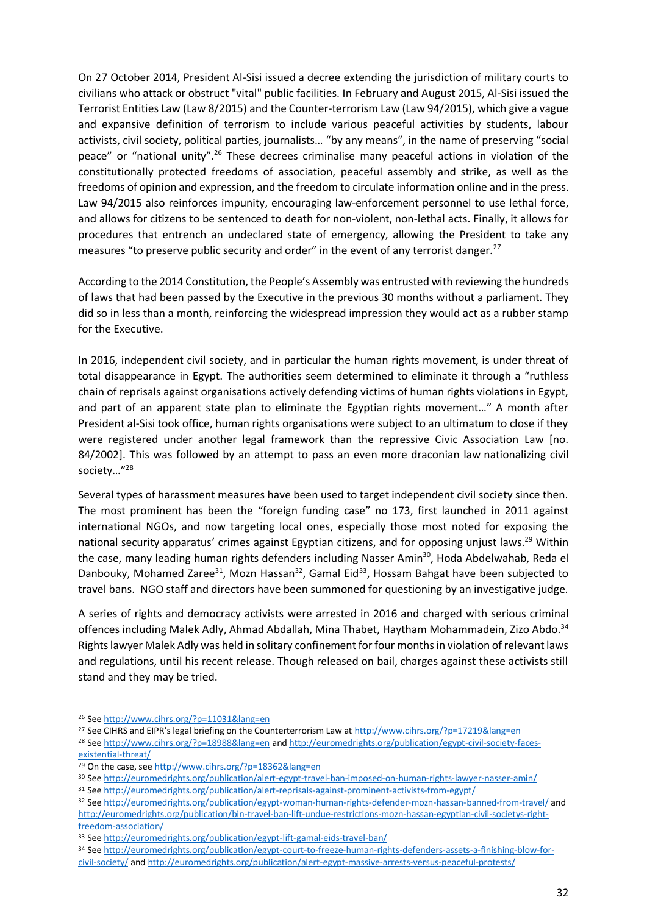On 27 October 2014, President Al-Sisi issued a decree extending the jurisdiction of military courts to civilians who attack or obstruct "vital" public facilities. In February and August 2015, Al-Sisi issued the Terrorist Entities Law (Law 8/2015) and the Counter-terrorism Law (Law 94/2015), which give a vague and expansive definition of terrorism to include various peaceful activities by students, labour activists, civil society, political parties, journalists… "by any means", in the name of preserving "social peace" or "national unity".<sup>26</sup> These decrees criminalise many peaceful actions in violation of the constitutionally protected freedoms of association, peaceful assembly and strike, as well as the freedoms of opinion and expression, and the freedom to circulate information online and in the press. Law 94/2015 also reinforces impunity, encouraging law-enforcement personnel to use lethal force, and allows for citizens to be sentenced to death for non-violent, non-lethal acts. Finally, it allows for procedures that entrench an undeclared state of emergency, allowing the President to take any measures "to preserve public security and order" in the event of any terrorist danger.<sup>27</sup>

According to the 2014 Constitution, the People's Assembly was entrusted with reviewing the hundreds of laws that had been passed by the Executive in the previous 30 months without a parliament. They did so in less than a month, reinforcing the widespread impression they would act as a rubber stamp for the Executive.

In 2016, independent civil society, and in particular the human rights movement, is under threat of total disappearance in Egypt. The authorities seem determined to eliminate it through a "ruthless chain of reprisals against organisations actively defending victims of human rights violations in Egypt, and part of an apparent state plan to eliminate the Egyptian rights movement…" A month after President al-Sisi took office, human rights organisations were subject to an ultimatum to close if they were registered under another legal framework than the repressive Civic Association Law [no. 84/2002]. This was followed by an attempt to pass an even more draconian law nationalizing civil society…"<sup>28</sup>

Several types of harassment measures have been used to target independent civil society since then. The most prominent has been the "foreign funding case" no 173, first launched in 2011 against international NGOs, and now targeting local ones, especially those most noted for exposing the national security apparatus' crimes against Egyptian citizens, and for opposing unjust laws.<sup>29</sup> Within the case, many leading human rights defenders including Nasser Amin<sup>30</sup>, Hoda Abdelwahab, Reda el Danbouky, Mohamed Zaree<sup>31</sup>, Mozn Hassan<sup>32</sup>, Gamal Eid<sup>33</sup>, Hossam Bahgat have been subjected to travel bans. NGO staff and directors have been summoned for questioning by an investigative judge.

A series of rights and democracy activists were arrested in 2016 and charged with serious criminal offences including Malek Adly, Ahmad Abdallah, Mina Thabet, Haytham Mohammadein, Zizo Abdo.<sup>34</sup> Rights lawyer Malek Adly was held in solitary confinement for four months in violation of relevant laws and regulations, until his recent release. Though released on bail, charges against these activists still stand and they may be tried.

1

<sup>26</sup> Se[e http://www.cihrs.org/?p=11031&lang=en](http://www.cihrs.org/?p=11031&lang=en)

<sup>&</sup>lt;sup>27</sup> See CIHRS and EIPR's legal briefing on the Counterterrorism Law at <http://www.cihrs.org/?p=17219&lang=en>

<sup>&</sup>lt;sup>28</sup> Se[e http://www.cihrs.org/?p=18988&lang=en](http://www.cihrs.org/?p=18988&lang=en) an[d http://euromedrights.org/publication/egypt-civil-society-faces](http://euromedrights.org/publication/egypt-civil-society-faces-existential-threat/)[existential-threat/](http://euromedrights.org/publication/egypt-civil-society-faces-existential-threat/)

<sup>29</sup> On the case, se[e http://www.cihrs.org/?p=18362&lang=en](http://www.cihrs.org/?p=18362&lang=en)

<sup>30</sup> Se[e http://euromedrights.org/publication/alert-egypt-travel-ban-imposed-on-human-rights-lawyer-nasser-amin/](http://euromedrights.org/publication/alert-egypt-travel-ban-imposed-on-human-rights-lawyer-nasser-amin/)

<sup>31</sup> Se[e http://euromedrights.org/publication/alert-reprisals-against-prominent-activists-from-egypt/](http://euromedrights.org/publication/alert-reprisals-against-prominent-activists-from-egypt/)

<sup>32</sup> Se[e http://euromedrights.org/publication/egypt-woman-human-rights-defender-mozn-hassan-banned-from-travel/](http://euromedrights.org/publication/egypt-woman-human-rights-defender-mozn-hassan-banned-from-travel/) and [http://euromedrights.org/publication/bin-travel-ban-lift-undue-restrictions-mozn-hassan-egyptian-civil-societys-right](http://euromedrights.org/publication/bin-travel-ban-lift-undue-restrictions-mozn-hassan-egyptian-civil-societys-right-freedom-association/)[freedom-association/](http://euromedrights.org/publication/bin-travel-ban-lift-undue-restrictions-mozn-hassan-egyptian-civil-societys-right-freedom-association/)

<sup>33</sup> Se[e http://euromedrights.org/publication/egypt-lift-gamal-eids-travel-ban/](http://euromedrights.org/publication/egypt-lift-gamal-eids-travel-ban/)

<sup>34</sup> Se[e http://euromedrights.org/publication/egypt-court-to-freeze-human-rights-defenders-assets-a-finishing-blow-for](http://euromedrights.org/publication/egypt-court-to-freeze-human-rights-defenders-assets-a-finishing-blow-for-civil-society/)[civil-society/](http://euromedrights.org/publication/egypt-court-to-freeze-human-rights-defenders-assets-a-finishing-blow-for-civil-society/) and<http://euromedrights.org/publication/alert-egypt-massive-arrests-versus-peaceful-protests/>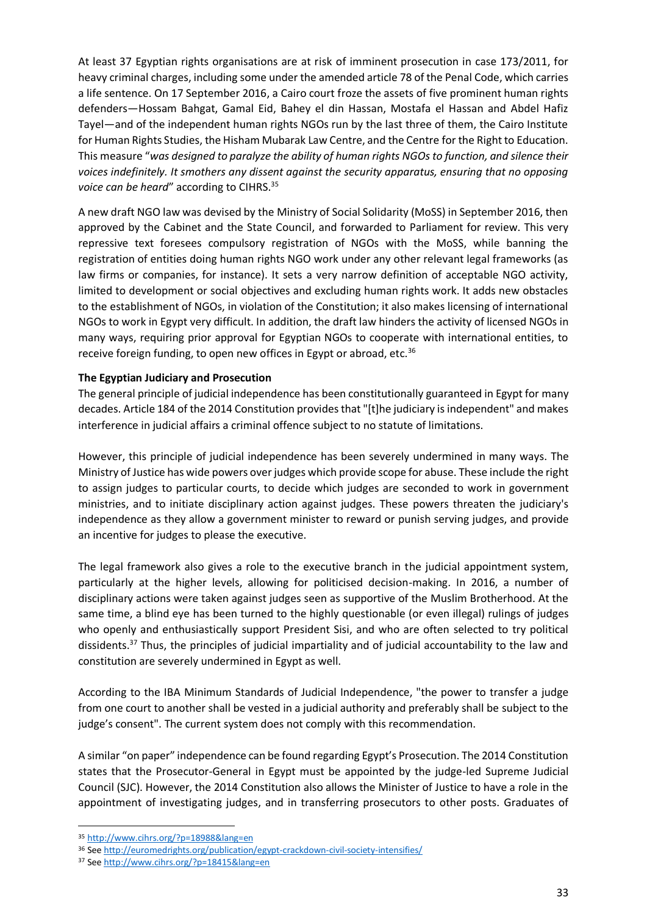At least 37 Egyptian rights organisations are at risk of imminent prosecution in case 173/2011, for heavy criminal charges, including some under the amended article 78 of the Penal Code, which carries a life sentence. On 17 September 2016, a Cairo court froze the assets of five prominent human rights defenders—Hossam Bahgat, Gamal Eid, Bahey el din Hassan, Mostafa el Hassan and Abdel Hafiz Tayel—and of the independent human rights NGOs run by the last three of them, the Cairo Institute for Human Rights Studies, the Hisham Mubarak Law Centre, and the Centre for the Right to Education. This measure "*was designed to paralyze the ability of human rights NGOs to function, and silence their voices indefinitely. It smothers any dissent against the security apparatus, ensuring that no opposing voice can be heard*" according to CIHRS.<sup>35</sup>

A new draft NGO law was devised by the Ministry of Social Solidarity (MoSS) in September 2016, then approved by the Cabinet and the State Council, and forwarded to Parliament for review. This very repressive text foresees compulsory registration of NGOs with the MoSS, while banning the registration of entities doing human rights NGO work under any other relevant legal frameworks (as law firms or companies, for instance). It sets a very narrow definition of acceptable NGO activity, limited to development or social objectives and excluding human rights work. It adds new obstacles to the establishment of NGOs, in violation of the Constitution; it also makes licensing of international NGOs to work in Egypt very difficult. In addition, the draft law hinders the activity of licensed NGOs in many ways, requiring prior approval for Egyptian NGOs to cooperate with international entities, to receive foreign funding, to open new offices in Egypt or abroad, etc.<sup>36</sup>

#### **The Egyptian Judiciary and Prosecution**

The general principle of judicial independence has been constitutionally guaranteed in Egypt for many decades. Article 184 of the 2014 Constitution provides that "[t]he judiciary is independent" and makes interference in judicial affairs a criminal offence subject to no statute of limitations.

However, this principle of judicial independence has been severely undermined in many ways. The Ministry of Justice has wide powers over judges which provide scope for abuse. These include the right to assign judges to particular courts, to decide which judges are seconded to work in government ministries, and to initiate disciplinary action against judges. These powers threaten the judiciary's independence as they allow a government minister to reward or punish serving judges, and provide an incentive for judges to please the executive.

The legal framework also gives a role to the executive branch in the judicial appointment system, particularly at the higher levels, allowing for politicised decision-making. In 2016, a number of disciplinary actions were taken against judges seen as supportive of the Muslim Brotherhood. At the same time, a blind eye has been turned to the highly questionable (or even illegal) rulings of judges who openly and enthusiastically support President Sisi, and who are often selected to try political dissidents.<sup>37</sup> Thus, the principles of judicial impartiality and of judicial accountability to the law and constitution are severely undermined in Egypt as well.

According to the IBA Minimum Standards of Judicial Independence, "the power to transfer a judge from one court to another shall be vested in a judicial authority and preferably shall be subject to the judge's consent". The current system does not comply with this recommendation.

A similar "on paper" independence can be found regarding Egypt's Prosecution. The 2014 Constitution states that the Prosecutor-General in Egypt must be appointed by the judge-led Supreme Judicial Council (SJC). However, the 2014 Constitution also allows the Minister of Justice to have a role in the appointment of investigating judges, and in transferring prosecutors to other posts. Graduates of

**.** 

<sup>35</sup> <http://www.cihrs.org/?p=18988&lang=en>

<sup>36</sup> Se[e http://euromedrights.org/publication/egypt-crackdown-civil-society-intensifies/](http://euromedrights.org/publication/egypt-crackdown-civil-society-intensifies/)

<sup>37</sup> Se[e http://www.cihrs.org/?p=18415&lang=en](http://www.cihrs.org/?p=18415&lang=en)